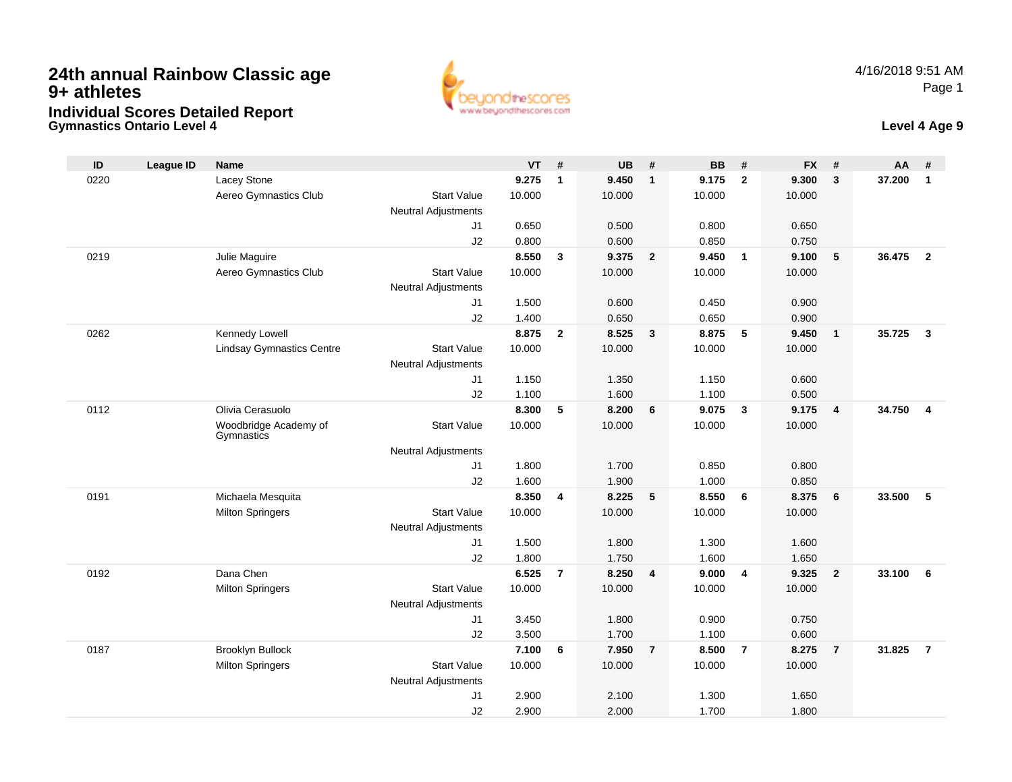**Gymnastics Ontario Level 4**



### **Level 4 Age 9**

| ID   | <b>League ID</b> | <b>Name</b>                      |                                              | $VT$ # |                | <b>UB</b>      | #              | <b>BB</b> | #                       | <b>FX</b>      | #              | AA     | #                       |
|------|------------------|----------------------------------|----------------------------------------------|--------|----------------|----------------|----------------|-----------|-------------------------|----------------|----------------|--------|-------------------------|
| 0220 |                  | Lacey Stone                      |                                              | 9.275  | $\mathbf{1}$   | 9.450          | $\mathbf{1}$   | 9.175     | $\overline{2}$          | 9.300          | $\mathbf{3}$   | 37.200 | $\mathbf{1}$            |
|      |                  | Aereo Gymnastics Club            | <b>Start Value</b>                           | 10.000 |                | 10.000         |                | 10.000    |                         | 10.000         |                |        |                         |
|      |                  |                                  | Neutral Adjustments                          |        |                |                |                |           |                         |                |                |        |                         |
|      |                  |                                  | J1                                           | 0.650  |                | 0.500          |                | 0.800     |                         | 0.650          |                |        |                         |
|      |                  |                                  | J2                                           | 0.800  |                | 0.600          |                | 0.850     |                         | 0.750          |                |        |                         |
| 0219 |                  | Julie Maguire                    |                                              | 8.550  | $\mathbf{3}$   | 9.375          | $\overline{2}$ | 9.450     | $\overline{1}$          | 9.100          | 5              | 36.475 | $\overline{2}$          |
|      |                  | Aereo Gymnastics Club            | <b>Start Value</b>                           | 10.000 |                | 10.000         |                | 10.000    |                         | 10.000         |                |        |                         |
|      |                  |                                  | <b>Neutral Adjustments</b>                   |        |                |                |                |           |                         |                |                |        |                         |
|      |                  |                                  | J1                                           | 1.500  |                | 0.600          |                | 0.450     |                         | 0.900          |                |        |                         |
|      |                  |                                  | J2                                           | 1.400  |                | 0.650          |                | 0.650     |                         | 0.900          |                |        |                         |
| 0262 |                  | Kennedy Lowell                   |                                              | 8.875  | $\mathbf{2}$   | 8.525          | $\overline{3}$ | 8.875     | 5                       | 9.450          | $\overline{1}$ | 35.725 | $\overline{\mathbf{3}}$ |
|      |                  | <b>Lindsay Gymnastics Centre</b> | <b>Start Value</b>                           | 10.000 |                | 10.000         |                | 10.000    |                         | 10.000         |                |        |                         |
|      |                  |                                  | <b>Neutral Adjustments</b><br>J1             | 1.150  |                | 1.350          |                | 1.150     |                         | 0.600          |                |        |                         |
|      |                  |                                  | J2                                           | 1.100  |                | 1.600          |                | 1.100     |                         | 0.500          |                |        |                         |
| 0112 |                  | Olivia Cerasuolo                 |                                              | 8.300  | 5              | 8.200          | 6              | 9.075     | $\overline{\mathbf{3}}$ | 9.175          | $\overline{4}$ | 34.750 | $\overline{4}$          |
|      |                  | Woodbridge Academy of            | <b>Start Value</b>                           | 10.000 |                | 10.000         |                | 10.000    |                         | 10.000         |                |        |                         |
|      |                  | Gymnastics                       |                                              |        |                |                |                |           |                         |                |                |        |                         |
|      |                  |                                  | <b>Neutral Adjustments</b>                   |        |                |                |                |           |                         |                |                |        |                         |
|      |                  |                                  | J1                                           | 1.800  |                | 1.700          |                | 0.850     |                         | 0.800          |                |        |                         |
|      |                  |                                  | J2                                           | 1.600  |                | 1.900          |                | 1.000     |                         | 0.850          |                |        |                         |
| 0191 |                  | Michaela Mesquita                |                                              | 8.350  | 4              | 8.225          | 5              | 8.550     | 6                       | 8.375          | 6              | 33.500 | 5                       |
|      |                  | <b>Milton Springers</b>          | <b>Start Value</b>                           | 10.000 |                | 10.000         |                | 10.000    |                         | 10.000         |                |        |                         |
|      |                  |                                  | <b>Neutral Adjustments</b>                   |        |                |                |                |           |                         |                |                |        |                         |
|      |                  |                                  | J1                                           | 1.500  |                | 1.800          |                | 1.300     |                         | 1.600          |                |        |                         |
|      |                  |                                  | J2                                           | 1.800  |                | 1.750          |                | 1.600     |                         | 1.650          |                |        |                         |
| 0192 |                  | Dana Chen                        |                                              | 6.525  | $\overline{7}$ | 8.250          | $\overline{4}$ | 9.000     | $\overline{4}$          | 9.325          | $\overline{2}$ | 33.100 | 6                       |
|      |                  | <b>Milton Springers</b>          | <b>Start Value</b>                           | 10.000 |                | 10.000         |                | 10.000    |                         | 10.000         |                |        |                         |
|      |                  |                                  | <b>Neutral Adjustments</b>                   |        |                |                |                |           |                         |                |                |        |                         |
|      |                  |                                  | J1                                           | 3.450  |                | 1.800          |                | 0.900     |                         | 0.750          |                |        |                         |
| 0187 |                  |                                  | J2                                           | 3.500  |                | 1.700<br>7.950 | $\overline{7}$ | 1.100     | $\overline{7}$          | 0.600<br>8.275 |                | 31.825 | $\overline{7}$          |
|      |                  | Brooklyn Bullock                 |                                              | 7.100  | 6              |                |                | 8.500     |                         |                | $\overline{7}$ |        |                         |
|      |                  | <b>Milton Springers</b>          | <b>Start Value</b>                           | 10.000 |                | 10.000         |                | 10.000    |                         | 10.000         |                |        |                         |
|      |                  |                                  | <b>Neutral Adjustments</b><br>J <sub>1</sub> | 2.900  |                | 2.100          |                | 1.300     |                         | 1.650          |                |        |                         |
|      |                  |                                  | J2                                           | 2.900  |                | 2.000          |                | 1.700     |                         | 1.800          |                |        |                         |
|      |                  |                                  |                                              |        |                |                |                |           |                         |                |                |        |                         |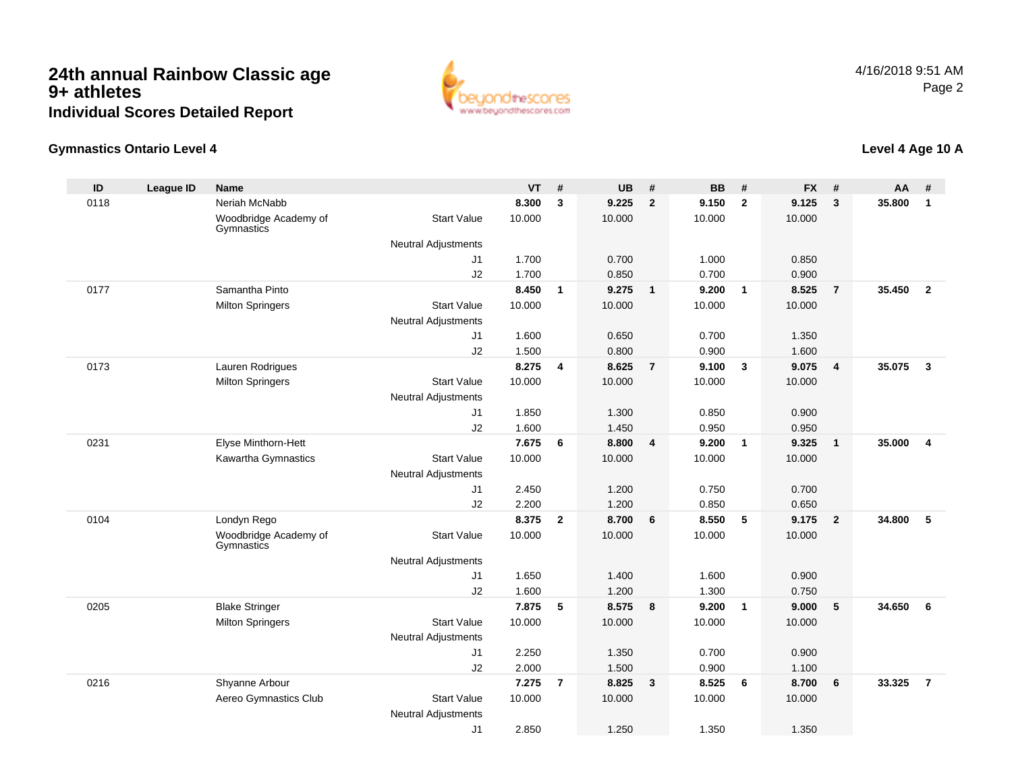

### **Gymnastics Ontario Level 4**

| ID   | <b>League ID</b> | <b>Name</b>                         |                            | <b>VT</b> | #              | <b>UB</b> | #              | <b>BB</b> | #              | <b>FX</b> | #              | AA     | #              |
|------|------------------|-------------------------------------|----------------------------|-----------|----------------|-----------|----------------|-----------|----------------|-----------|----------------|--------|----------------|
| 0118 |                  | Neriah McNabb                       |                            | 8.300     | 3              | 9.225     | $\overline{2}$ | 9.150     | $\overline{2}$ | 9.125     | 3              | 35.800 | $\mathbf{1}$   |
|      |                  | Woodbridge Academy of<br>Gymnastics | <b>Start Value</b>         | 10.000    |                | 10.000    |                | 10.000    |                | 10.000    |                |        |                |
|      |                  |                                     | <b>Neutral Adjustments</b> |           |                |           |                |           |                |           |                |        |                |
|      |                  |                                     | J1                         | 1.700     |                | 0.700     |                | 1.000     |                | 0.850     |                |        |                |
|      |                  |                                     | J2                         | 1.700     |                | 0.850     |                | 0.700     |                | 0.900     |                |        |                |
| 0177 |                  | Samantha Pinto                      |                            | 8.450     | $\mathbf{1}$   | 9.275     | $\overline{1}$ | 9.200     | $\overline{1}$ | 8.525     | $\overline{7}$ | 35.450 | $\overline{2}$ |
|      |                  | <b>Milton Springers</b>             | <b>Start Value</b>         | 10.000    |                | 10.000    |                | 10.000    |                | 10.000    |                |        |                |
|      |                  |                                     | <b>Neutral Adjustments</b> |           |                |           |                |           |                |           |                |        |                |
|      |                  |                                     | J1                         | 1.600     |                | 0.650     |                | 0.700     |                | 1.350     |                |        |                |
|      |                  |                                     | J2                         | 1.500     |                | 0.800     |                | 0.900     |                | 1.600     |                |        |                |
| 0173 |                  | Lauren Rodrigues                    |                            | 8.275     | 4              | 8.625     | $\overline{7}$ | 9.100     | $\mathbf{3}$   | 9.075     | 4              | 35.075 | $\mathbf{3}$   |
|      |                  | <b>Milton Springers</b>             | <b>Start Value</b>         | 10.000    |                | 10.000    |                | 10.000    |                | 10.000    |                |        |                |
|      |                  |                                     | <b>Neutral Adjustments</b> |           |                |           |                |           |                |           |                |        |                |
|      |                  |                                     | J1                         | 1.850     |                | 1.300     |                | 0.850     |                | 0.900     |                |        |                |
|      |                  |                                     | J2                         | 1.600     |                | 1.450     |                | 0.950     |                | 0.950     |                |        |                |
| 0231 |                  | Elyse Minthorn-Hett                 |                            | 7.675     | 6              | 8.800     | $\overline{4}$ | 9.200     | $\mathbf{1}$   | 9.325     | $\mathbf{1}$   | 35.000 | 4              |
|      |                  | Kawartha Gymnastics                 | <b>Start Value</b>         | 10.000    |                | 10.000    |                | 10.000    |                | 10.000    |                |        |                |
|      |                  |                                     | <b>Neutral Adjustments</b> |           |                |           |                |           |                |           |                |        |                |
|      |                  |                                     | J1                         | 2.450     |                | 1.200     |                | 0.750     |                | 0.700     |                |        |                |
|      |                  |                                     | J2                         | 2.200     |                | 1.200     |                | 0.850     |                | 0.650     |                |        |                |
| 0104 |                  | Londyn Rego                         |                            | 8.375     | $\overline{2}$ | 8.700     | 6              | 8.550     | 5              | 9.175     | $\overline{2}$ | 34.800 | 5              |
|      |                  | Woodbridge Academy of<br>Gymnastics | <b>Start Value</b>         | 10.000    |                | 10.000    |                | 10.000    |                | 10.000    |                |        |                |
|      |                  |                                     | <b>Neutral Adjustments</b> |           |                |           |                |           |                |           |                |        |                |
|      |                  |                                     | J1                         | 1.650     |                | 1.400     |                | 1.600     |                | 0.900     |                |        |                |
|      |                  |                                     | J2                         | 1.600     |                | 1.200     |                | 1.300     |                | 0.750     |                |        |                |
| 0205 |                  | <b>Blake Stringer</b>               |                            | 7.875     | 5              | 8.575     | 8              | 9.200     | $\overline{1}$ | 9.000     | 5              | 34.650 | 6              |
|      |                  | <b>Milton Springers</b>             | <b>Start Value</b>         | 10.000    |                | 10.000    |                | 10.000    |                | 10.000    |                |        |                |
|      |                  |                                     | <b>Neutral Adjustments</b> |           |                |           |                |           |                |           |                |        |                |
|      |                  |                                     | J1                         | 2.250     |                | 1.350     |                | 0.700     |                | 0.900     |                |        |                |
|      |                  |                                     | J2                         | 2.000     |                | 1.500     |                | 0.900     |                | 1.100     |                |        |                |
| 0216 |                  | Shyanne Arbour                      |                            | 7.275     | $\overline{7}$ | 8.825     | $\mathbf{3}$   | 8.525     | 6              | 8.700     | 6              | 33.325 | $\overline{7}$ |
|      |                  | Aereo Gymnastics Club               | <b>Start Value</b>         | 10.000    |                | 10.000    |                | 10.000    |                | 10.000    |                |        |                |
|      |                  |                                     | <b>Neutral Adjustments</b> |           |                |           |                |           |                |           |                |        |                |
|      |                  |                                     | J <sub>1</sub>             | 2.850     |                | 1.250     |                | 1.350     |                | 1.350     |                |        |                |

### **Level 4 Age 10 A**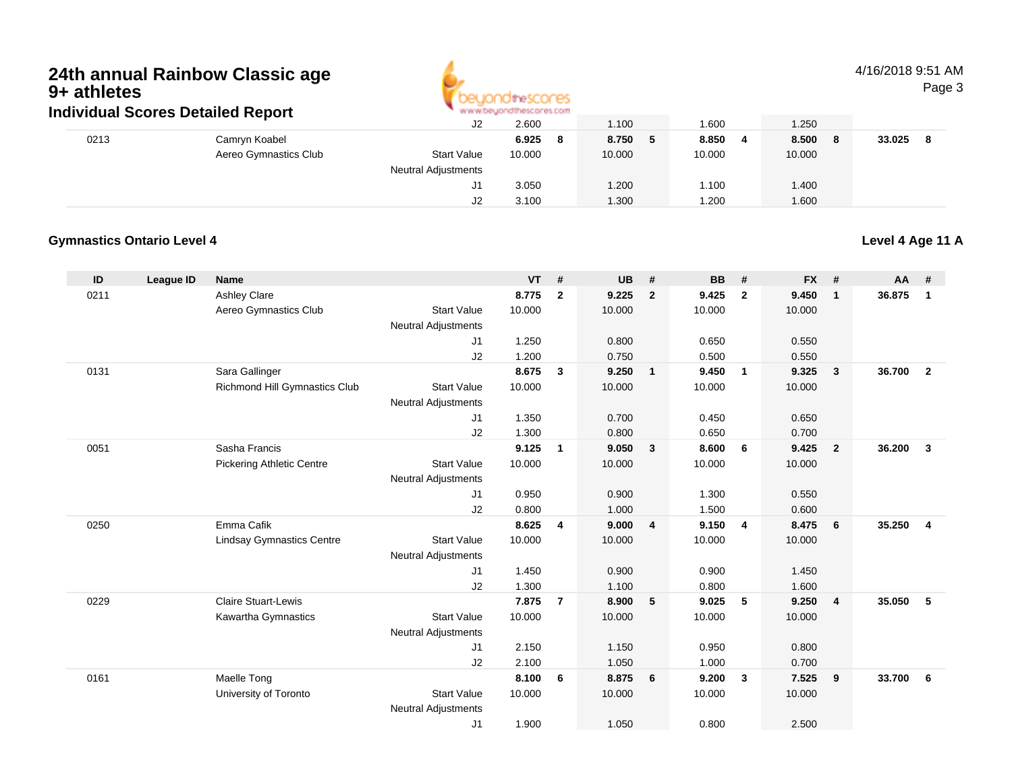

4/16/2018 9:51 AMPage 3

|      |                       | J2                                | 2.600        | 1.100                                 | .600   | 1.250        |        |  |
|------|-----------------------|-----------------------------------|--------------|---------------------------------------|--------|--------------|--------|--|
| 0213 | Camryn Koabel         |                                   | 6.925<br>- 8 | 8.750                                 | 8.850  | 8.500<br>- 8 | 33.025 |  |
|      | Aereo Gymnastics Club | <b>Start Value</b>                | 10.000       | 10.000                                | 10.000 | 10.000       |        |  |
|      |                       | <b>Neutral Adjustments</b>        |              |                                       |        |              |        |  |
|      |                       | J1                                | 3.050        | 1.200                                 | 1.100  | 1.400        |        |  |
|      |                       | J2                                | 3.100        | 1.300                                 | .200   | 1.600        |        |  |
|      |                       | individual Scores Detailed Report |              | <b>M.M.MCASTAN IN ILIMENT AS FOUL</b> |        |              |        |  |

### **Gymnastics Ontario Level 4Level 4 Age 11 A**

**ID League ID Name VT # UB # BB # FX # AA #** 0211 Ashley Clare **8.775 <sup>2</sup> 9.225 <sup>2</sup> 9.425 <sup>2</sup> 9.450 <sup>1</sup> 36.875 <sup>1</sup>** Aereo Gymnastics Clubb 3tart Value 10.000 10.000 10.000 10.000 10.000 Neutral Adjustments J1 1.250 0.800 0.650 0.550 J2 1.200 0.750 0.500 0.550 0131 Sara Gallinger **8.675 <sup>3</sup> 9.250 <sup>1</sup> 9.450 <sup>1</sup> 9.325 <sup>3</sup> 36.700 <sup>2</sup>** Richmond Hill Gymnastics Clubb Start Value 10.000 10.000 10.000 10.000 10.000 Neutral Adjustments J1 1.350 0.700 0.450 0.650 J2 1.300 0.800 0.650 0.700 0051 Sasha Francis **9.125 <sup>1</sup> 9.050 <sup>3</sup> 8.600 <sup>6</sup> 9.425 <sup>2</sup> 36.200 <sup>3</sup>** Pickering Athletic Centre Start Value 10.000 10.000 10.000 10.000 Neutral AdjustmentsJ1 0.950 0.900 1.300 0.550 J2 0.800 1.000 1.500 0.600 0250 Emma Cafik **8.625 <sup>4</sup> 9.000 <sup>4</sup> 9.150 <sup>4</sup> 8.475 <sup>6</sup> 35.250 <sup>4</sup>** Lindsay Gymnastics Centre Start Value 10.000 10.000 10.000 10.000 Neutral Adjustments J1 1.450 0.900 0.900 1.450 J2 1.300 1.100 0.800 1.600 0229 Claire Stuart-Lewis **7.875 <sup>7</sup> 8.900 <sup>5</sup> 9.025 <sup>5</sup> 9.250 <sup>4</sup> 35.050 <sup>5</sup>** Kawartha Gymnastics Start Valuee 10.000 10.000 10.000 10.000 Neutral Adjustments J1 2.150 1.150 0.950 0.800 J2 2.100 1.050 1.000 0.700 0161 Maelle Tong **8.100 <sup>6</sup> 8.875 <sup>6</sup> 9.200 <sup>3</sup> 7.525 <sup>9</sup> 33.700 <sup>6</sup>** University of Toronto Start Value 10.000 10.000 10.000 10.000 Neutral Adjustments J11.900 1.050 0.800 2.500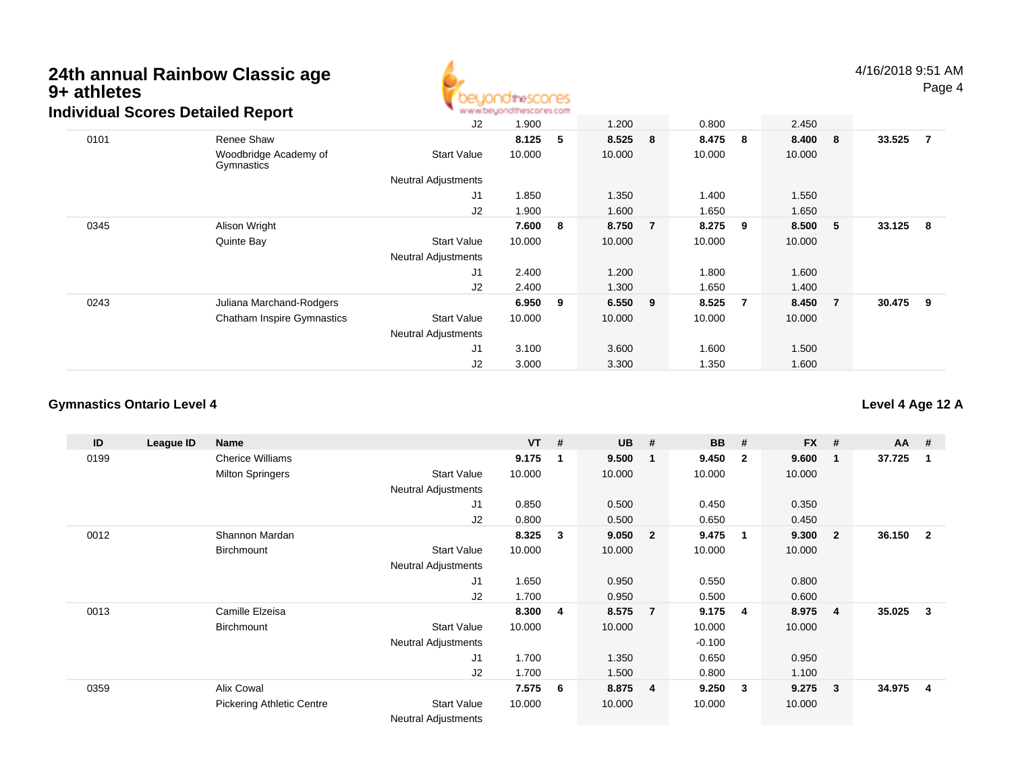

|      | arriadar ocorca Dolanca Report      |                            |        |   |           |                |        |                |         |                |        |                |
|------|-------------------------------------|----------------------------|--------|---|-----------|----------------|--------|----------------|---------|----------------|--------|----------------|
|      |                                     | J2                         | 1.900  |   | 1.200     |                | 0.800  |                | 2.450   |                |        |                |
| 0101 | Renee Shaw                          |                            | 8.125  | 5 | 8.525 8   |                | 8.475  | 8              | 8.400 8 |                | 33.525 | $\overline{7}$ |
|      | Woodbridge Academy of<br>Gymnastics | <b>Start Value</b>         | 10.000 |   | 10.000    |                | 10.000 |                | 10.000  |                |        |                |
|      |                                     | <b>Neutral Adjustments</b> |        |   |           |                |        |                |         |                |        |                |
|      |                                     | J1                         | 1.850  |   | 1.350     |                | 1.400  |                | 1.550   |                |        |                |
|      |                                     | J <sub>2</sub>             | 1.900  |   | 1.600     |                | 1.650  |                | 1.650   |                |        |                |
| 0345 | Alison Wright                       |                            | 7.600  | 8 | 8.750     | $\overline{7}$ | 8.275  | 9              | 8.500   | $-5$           | 33.125 | - 8            |
|      | Quinte Bay                          | <b>Start Value</b>         | 10.000 |   | 10.000    |                | 10.000 |                | 10.000  |                |        |                |
|      |                                     | <b>Neutral Adjustments</b> |        |   |           |                |        |                |         |                |        |                |
|      |                                     | J1                         | 2.400  |   | 1.200     |                | 1.800  |                | 1.600   |                |        |                |
|      |                                     | J2                         | 2.400  |   | 1.300     |                | 1.650  |                | 1.400   |                |        |                |
| 0243 | Juliana Marchand-Rodgers            |                            | 6.950  | 9 | $6.550$ 9 |                | 8.525  | $\overline{7}$ | 8.450   | $\overline{7}$ | 30.475 | - 9            |
|      | <b>Chatham Inspire Gymnastics</b>   | <b>Start Value</b>         | 10.000 |   | 10.000    |                | 10.000 |                | 10.000  |                |        |                |
|      |                                     | <b>Neutral Adjustments</b> |        |   |           |                |        |                |         |                |        |                |
|      |                                     | J1                         | 3.100  |   | 3.600     |                | 1.600  |                | 1.500   |                |        |                |
|      |                                     | J2                         | 3.000  |   | 3.300     |                | 1.350  |                | 1.600   |                |        |                |

### **Gymnastics Ontario Level 4**

**ID League ID Name VT # UB # BB # FX # AA #** 0199 Cherice Williams **9.175 <sup>1</sup> 9.500 <sup>1</sup> 9.450 <sup>2</sup> 9.600 <sup>1</sup> 37.725 <sup>1</sup>** Milton Springers Start Valuee 10.000 10.000 10.000 10.000 Neutral Adjustments J1 0.850 0.500 0.450 0.350 J2 0.800 0.500 0.650 0.450 0012 Shannon Mardan **8.325 <sup>3</sup> 9.050 <sup>2</sup> 9.475 <sup>1</sup> 9.300 <sup>2</sup> 36.150 <sup>2</sup> Birchmount**  Start Valuee 10.000 10.000 10.000 10.000 Neutral Adjustments J1 1.650 0.950 0.550 0.800 J2 1.700 0.950 0.500 0.600 0013 Camille Elzeisa **8.300 <sup>4</sup> 8.575 <sup>7</sup> 9.175 <sup>4</sup> 8.975 <sup>4</sup> 35.025 <sup>3</sup> Birchmount**  Start Valuee 10.000 10.000 10.000 10.000 Neutral Adjustments $-0.100$ 0.650 J1 1.700 1.350 0.650 0.950 J2 1.700 1.500 0.800 1.100 0359 Alix Cowal **7.575 <sup>6</sup> 8.875 <sup>4</sup> 9.250 <sup>3</sup> 9.275 <sup>3</sup> 34.975 <sup>4</sup>** Pickering Athletic CentreStart Value 10.000 10.000 10.000 10.000

Neutral Adjustments

### **Level 4 Age 12 A**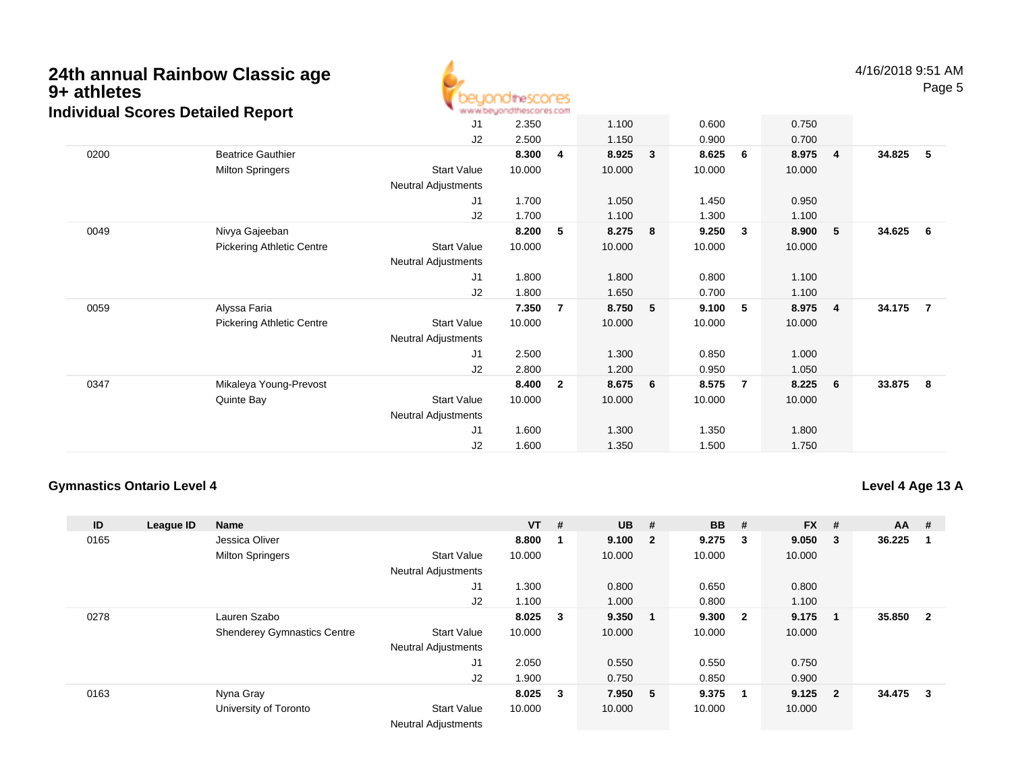

4/16/2018 9:51 AMPage 5

|      | alvidual Ocoles Detailed Report  | J1                         | 2.350  |                | 1.100  |              | 0.600  |              | 0.750  |                |        |                |
|------|----------------------------------|----------------------------|--------|----------------|--------|--------------|--------|--------------|--------|----------------|--------|----------------|
|      |                                  | J2                         | 2.500  |                | 1.150  |              | 0.900  |              | 0.700  |                |        |                |
| 0200 | <b>Beatrice Gauthier</b>         |                            | 8.300  | 4              | 8.925  | $\mathbf{3}$ | 8.625  | 6            | 8.975  | $\overline{4}$ | 34.825 | 5              |
|      | <b>Milton Springers</b>          | <b>Start Value</b>         | 10.000 |                | 10.000 |              | 10.000 |              | 10.000 |                |        |                |
|      |                                  | Neutral Adjustments        |        |                |        |              |        |              |        |                |        |                |
|      |                                  | J1                         | 1.700  |                | 1.050  |              | 1.450  |              | 0.950  |                |        |                |
|      |                                  | J2                         | 1.700  |                | 1.100  |              | 1.300  |              | 1.100  |                |        |                |
| 0049 | Nivya Gajeeban                   |                            | 8.200  | 5              | 8.275  | 8            | 9.250  | $\mathbf{3}$ | 8.900  | -5             | 34.625 | 6              |
|      | <b>Pickering Athletic Centre</b> | Start Value                | 10.000 |                | 10.000 |              | 10.000 |              | 10.000 |                |        |                |
|      |                                  | Neutral Adjustments        |        |                |        |              |        |              |        |                |        |                |
|      |                                  | J1                         | 1.800  |                | 1.800  |              | 0.800  |              | 1.100  |                |        |                |
|      |                                  | J2                         | 1.800  |                | 1.650  |              | 0.700  |              | 1.100  |                |        |                |
| 0059 | Alyssa Faria                     |                            | 7.350  | $\overline{7}$ | 8.750  | 5            | 9.100  | 5            | 8.975  | -4             | 34.175 | $\overline{7}$ |
|      | <b>Pickering Athletic Centre</b> | Start Value                | 10.000 |                | 10.000 |              | 10.000 |              | 10.000 |                |        |                |
|      |                                  | Neutral Adjustments        |        |                |        |              |        |              |        |                |        |                |
|      |                                  | J1                         | 2.500  |                | 1.300  |              | 0.850  |              | 1.000  |                |        |                |
|      |                                  | J2                         | 2.800  |                | 1.200  |              | 0.950  |              | 1.050  |                |        |                |
| 0347 | Mikaleya Young-Prevost           |                            | 8.400  | $\overline{2}$ | 8.675  | 6            | 8.575  | - 7          | 8.225  | 6              | 33.875 | 8              |
|      | Quinte Bay                       | <b>Start Value</b>         | 10.000 |                | 10.000 |              | 10.000 |              | 10.000 |                |        |                |
|      |                                  | <b>Neutral Adjustments</b> |        |                |        |              |        |              |        |                |        |                |
|      |                                  | J1                         | 1.600  |                | 1.300  |              | 1.350  |              | 1.800  |                |        |                |
|      |                                  | J2                         | 1.600  |                | 1.350  |              | 1.500  |              | 1.750  |                |        |                |

### **Gymnastics Ontario Level 4**

**Level 4 Age 13 A**

| ID   | League ID | <b>Name</b>                        |                            | $VT$ # |                         | <b>UB</b> | #                       | <b>BB</b> | #   | <b>FX</b> | #              | $AA$ # |              |
|------|-----------|------------------------------------|----------------------------|--------|-------------------------|-----------|-------------------------|-----------|-----|-----------|----------------|--------|--------------|
| 0165 |           | Jessica Oliver                     |                            | 8.800  |                         | 9.100     | $\overline{\mathbf{2}}$ | 9.275     | 3   | 9.050     | 3              | 36.225 |              |
|      |           | <b>Milton Springers</b>            | <b>Start Value</b>         | 10.000 |                         | 10.000    |                         | 10.000    |     | 10.000    |                |        |              |
|      |           |                                    | <b>Neutral Adjustments</b> |        |                         |           |                         |           |     |           |                |        |              |
|      |           |                                    | J1                         | 1.300  |                         | 0.800     |                         | 0.650     |     | 0.800     |                |        |              |
|      |           |                                    | J2                         | 1.100  |                         | 1.000     |                         | 0.800     |     | 1.100     |                |        |              |
| 0278 |           | Lauren Szabo                       |                            | 8.025  | $_{3}$                  | 9.350     | - 1                     | 9.300     | - 2 | 9.175     |                | 35.850 | $\mathbf{2}$ |
|      |           | <b>Shenderey Gymnastics Centre</b> | <b>Start Value</b>         | 10.000 |                         | 10.000    |                         | 10.000    |     | 10.000    |                |        |              |
|      |           |                                    | <b>Neutral Adjustments</b> |        |                         |           |                         |           |     |           |                |        |              |
|      |           |                                    | J <sub>1</sub>             | 2.050  |                         | 0.550     |                         | 0.550     |     | 0.750     |                |        |              |
|      |           |                                    | J2                         | 1.900  |                         | 0.750     |                         | 0.850     |     | 0.900     |                |        |              |
| 0163 |           | Nyna Gray                          |                            | 8.025  | $\overline{\mathbf{3}}$ | 7.950     | - 5                     | 9.375     | -1  | 9.125     | $\overline{2}$ | 34.475 | 3            |
|      |           | University of Toronto              | <b>Start Value</b>         | 10.000 |                         | 10.000    |                         | 10.000    |     | 10.000    |                |        |              |
|      |           |                                    | <b>Neutral Adjustments</b> |        |                         |           |                         |           |     |           |                |        |              |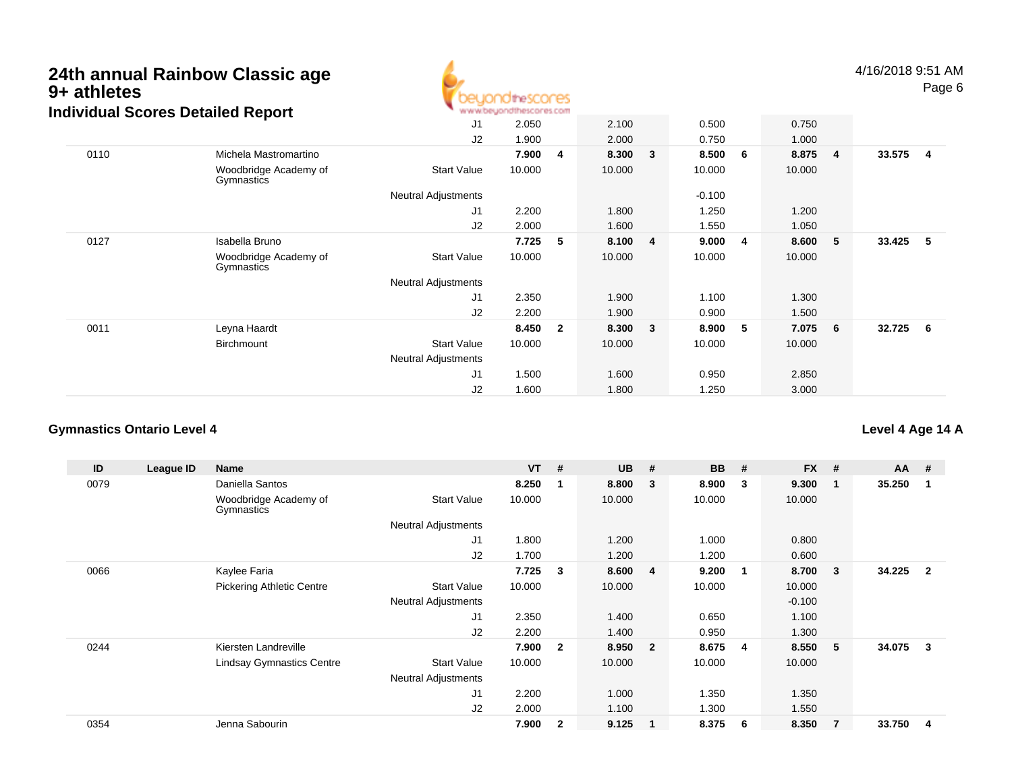

4/16/2018 9:51 AMPage 6

|      |                                     | J <sub>1</sub>             | 2.050  |                | 2.100  |                | 0.500    |   | 0.750  |                         |        |     |
|------|-------------------------------------|----------------------------|--------|----------------|--------|----------------|----------|---|--------|-------------------------|--------|-----|
|      |                                     | J2                         | 1.900  |                | 2.000  |                | 0.750    |   | 1.000  |                         |        |     |
| 0110 | Michela Mastromartino               |                            | 7.900  | 4              | 8.300  | 3              | 8.500    | 6 | 8.875  | $\overline{\mathbf{4}}$ | 33.575 | - 4 |
|      | Woodbridge Academy of<br>Gymnastics | <b>Start Value</b>         | 10.000 |                | 10.000 |                | 10.000   |   | 10.000 |                         |        |     |
|      |                                     | <b>Neutral Adjustments</b> |        |                |        |                | $-0.100$ |   |        |                         |        |     |
|      |                                     | J1                         | 2.200  |                | 1.800  |                | 1.250    |   | 1.200  |                         |        |     |
|      |                                     | J2                         | 2.000  |                | 1.600  |                | 1.550    |   | 1.050  |                         |        |     |
| 0127 | Isabella Bruno                      |                            | 7.725  | 5              | 8.100  | $\overline{4}$ | 9.000    | 4 | 8.600  | - 5                     | 33.425 | - 5 |
|      | Woodbridge Academy of<br>Gymnastics | <b>Start Value</b>         | 10.000 |                | 10.000 |                | 10.000   |   | 10.000 |                         |        |     |
|      |                                     | <b>Neutral Adjustments</b> |        |                |        |                |          |   |        |                         |        |     |
|      |                                     | J1                         | 2.350  |                | 1.900  |                | 1.100    |   | 1.300  |                         |        |     |
|      |                                     | J2                         | 2.200  |                | 1.900  |                | 0.900    |   | 1.500  |                         |        |     |
| 0011 | Leyna Haardt                        |                            | 8.450  | $\overline{2}$ | 8.300  | 3              | 8.900    | 5 | 7.075  | - 6                     | 32.725 | 6   |
|      | Birchmount                          | <b>Start Value</b>         | 10.000 |                | 10.000 |                | 10.000   |   | 10.000 |                         |        |     |
|      |                                     | Neutral Adjustments        |        |                |        |                |          |   |        |                         |        |     |
|      |                                     | J1                         | 1.500  |                | 1.600  |                | 0.950    |   | 2.850  |                         |        |     |
|      |                                     | J2                         | 1.600  |                | 1.800  |                | 1.250    |   | 3.000  |                         |        |     |

### **Gymnastics Ontario Level 4**

**Level 4 Age 14 A**

| ID   | League ID | Name                                |                            | $VT$ # |                | <b>UB</b> | #                       | <b>BB</b> | #            | <b>FX</b> | #              | $AA$ # |                |
|------|-----------|-------------------------------------|----------------------------|--------|----------------|-----------|-------------------------|-----------|--------------|-----------|----------------|--------|----------------|
| 0079 |           | Daniella Santos                     |                            | 8.250  |                | 8.800     | $\mathbf{3}$            | 8.900     | 3            | 9.300     |                | 35.250 |                |
|      |           | Woodbridge Academy of<br>Gymnastics | <b>Start Value</b>         | 10.000 |                | 10.000    |                         | 10.000    |              | 10.000    |                |        |                |
|      |           |                                     | <b>Neutral Adjustments</b> |        |                |           |                         |           |              |           |                |        |                |
|      |           |                                     | J1                         | 1.800  |                | 1.200     |                         | 1.000     |              | 0.800     |                |        |                |
|      |           |                                     | J2                         | 1.700  |                | 1.200     |                         | 1.200     |              | 0.600     |                |        |                |
| 0066 |           | Kaylee Faria                        |                            | 7.725  | 3              | 8.600     | $\overline{4}$          | 9.200     | $\mathbf{1}$ | 8.700     | 3              | 34.225 | $\overline{2}$ |
|      |           | <b>Pickering Athletic Centre</b>    | <b>Start Value</b>         | 10.000 |                | 10.000    |                         | 10.000    |              | 10.000    |                |        |                |
|      |           |                                     | <b>Neutral Adjustments</b> |        |                |           |                         |           |              | $-0.100$  |                |        |                |
|      |           |                                     | J1                         | 2.350  |                | 1.400     |                         | 0.650     |              | 1.100     |                |        |                |
|      |           |                                     | J2                         | 2.200  |                | 1.400     |                         | 0.950     |              | 1.300     |                |        |                |
| 0244 |           | Kiersten Landreville                |                            | 7.900  | $\overline{2}$ | 8.950     | $\overline{\mathbf{2}}$ | 8.675     | -4           | 8.550     | 5              | 34.075 | 3              |
|      |           | <b>Lindsay Gymnastics Centre</b>    | <b>Start Value</b>         | 10.000 |                | 10.000    |                         | 10.000    |              | 10.000    |                |        |                |
|      |           |                                     | Neutral Adjustments        |        |                |           |                         |           |              |           |                |        |                |
|      |           |                                     | J1                         | 2.200  |                | 1.000     |                         | 1.350     |              | 1.350     |                |        |                |
|      |           |                                     | J2                         | 2.000  |                | 1.100     |                         | 1.300     |              | 1.550     |                |        |                |
| 0354 |           | Jenna Sabourin                      |                            | 7.900  | $\overline{2}$ | 9.125     | $\mathbf{1}$            | 8.375     | 6            | 8.350     | $\overline{7}$ | 33.750 | 4              |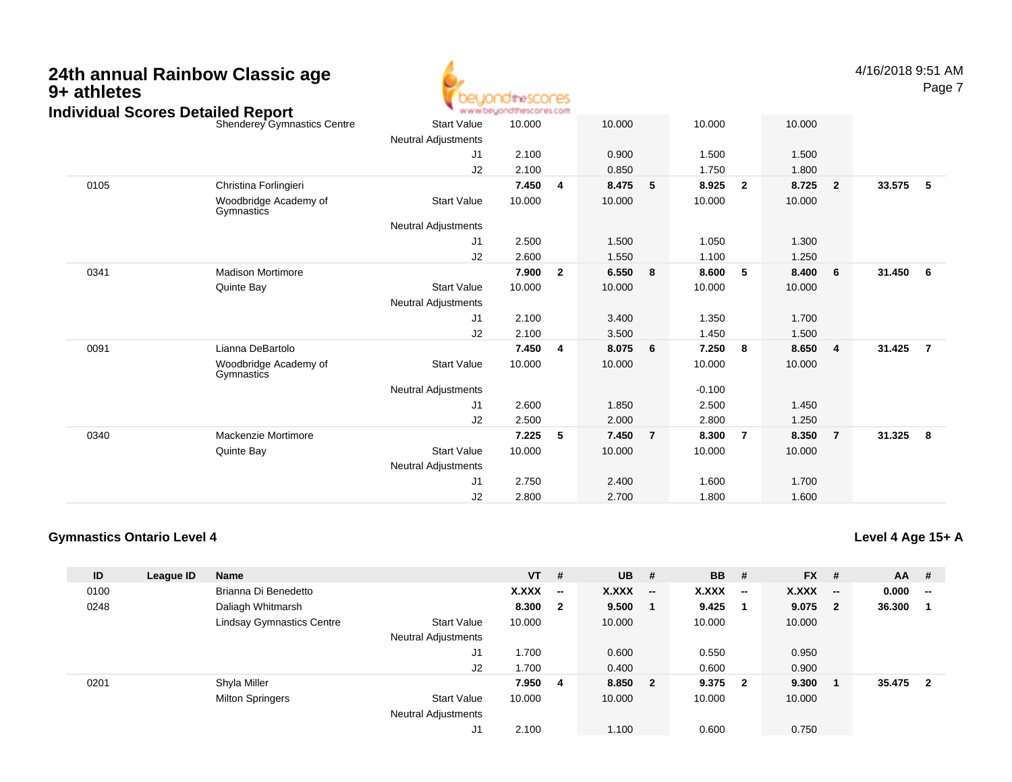

4/16/2018 9:51 AMPage 7

|      | Individual Scores Detailed Report   |                            | www.beyondthescores.com |                         |        |                |          |                |        |                |        |                 |
|------|-------------------------------------|----------------------------|-------------------------|-------------------------|--------|----------------|----------|----------------|--------|----------------|--------|-----------------|
|      | Shenderey Gymnastics Centre         | <b>Start Value</b>         | 10.000                  |                         | 10.000 |                | 10.000   |                | 10.000 |                |        |                 |
|      |                                     | <b>Neutral Adjustments</b> |                         |                         |        |                |          |                |        |                |        |                 |
|      |                                     | J1                         | 2.100                   |                         | 0.900  |                | 1.500    |                | 1.500  |                |        |                 |
|      |                                     | J2                         | 2.100                   |                         | 0.850  |                | 1.750    |                | 1.800  |                |        |                 |
| 0105 | Christina Forlingieri               |                            | 7.450                   | 4                       | 8.475  | 5              | 8.925    | $\overline{2}$ | 8.725  | $\overline{2}$ | 33.575 | - 5             |
|      | Woodbridge Academy of<br>Gymnastics | <b>Start Value</b>         | 10.000                  |                         | 10.000 |                | 10.000   |                | 10.000 |                |        |                 |
|      |                                     | Neutral Adjustments        |                         |                         |        |                |          |                |        |                |        |                 |
|      |                                     | J1                         | 2.500                   |                         | 1.500  |                | 1.050    |                | 1.300  |                |        |                 |
|      |                                     | J2                         | 2.600                   |                         | 1.550  |                | 1.100    |                | 1.250  |                |        |                 |
| 0341 | <b>Madison Mortimore</b>            |                            | 7.900                   | $\overline{\mathbf{2}}$ | 6.550  | 8              | 8.600    | 5              | 8.400  | 6              | 31.450 | $6\overline{6}$ |
|      | Quinte Bay                          | <b>Start Value</b>         | 10.000                  |                         | 10.000 |                | 10.000   |                | 10.000 |                |        |                 |
|      |                                     | <b>Neutral Adjustments</b> |                         |                         |        |                |          |                |        |                |        |                 |
|      |                                     | J1                         | 2.100                   |                         | 3.400  |                | 1.350    |                | 1.700  |                |        |                 |
|      |                                     | J2                         | 2.100                   |                         | 3.500  |                | 1.450    |                | 1.500  |                |        |                 |
| 0091 | Lianna DeBartolo                    |                            | 7.450                   | 4                       | 8.075  | 6              | 7.250    | 8              | 8.650  | $\overline{4}$ | 31.425 | $\overline{7}$  |
|      | Woodbridge Academy of<br>Gymnastics | <b>Start Value</b>         | 10.000                  |                         | 10.000 |                | 10.000   |                | 10.000 |                |        |                 |
|      |                                     | <b>Neutral Adjustments</b> |                         |                         |        |                | $-0.100$ |                |        |                |        |                 |
|      |                                     | J1                         | 2.600                   |                         | 1.850  |                | 2.500    |                | 1.450  |                |        |                 |
|      |                                     | J2                         | 2.500                   |                         | 2.000  |                | 2.800    |                | 1.250  |                |        |                 |
| 0340 | Mackenzie Mortimore                 |                            | 7.225                   | 5                       | 7.450  | $\overline{7}$ | 8.300    | $\overline{7}$ | 8.350  | $\overline{7}$ | 31.325 | 8               |
|      | Quinte Bay                          | <b>Start Value</b>         | 10.000                  |                         | 10.000 |                | 10.000   |                | 10.000 |                |        |                 |
|      |                                     | <b>Neutral Adjustments</b> |                         |                         |        |                |          |                |        |                |        |                 |
|      |                                     | J1                         | 2.750                   |                         | 2.400  |                | 1.600    |                | 1.700  |                |        |                 |
|      |                                     | J2                         | 2.800                   |                         | 2.700  |                | 1.800    |                | 1.600  |                |        |                 |
|      |                                     |                            |                         |                         |        |                |          |                |        |                |        |                 |

### **Gymnastics Ontario Level 4**

**Level 4 Age 15+ A**

| ID   | League ID | <b>Name</b>                      |                            | $VT$ # |                          | <b>UB</b>    | #                        | <b>BB</b>    | #                        | <b>FX</b> | #                        | $AA$ # |                                                   |
|------|-----------|----------------------------------|----------------------------|--------|--------------------------|--------------|--------------------------|--------------|--------------------------|-----------|--------------------------|--------|---------------------------------------------------|
| 0100 |           | Brianna Di Benedetto             |                            | X.XXX  | $\overline{\phantom{a}}$ | <b>X.XXX</b> | $\overline{\phantom{a}}$ | <b>X.XXX</b> | $\overline{\phantom{a}}$ | X.XXX     | $\overline{\phantom{a}}$ | 0.000  | $\hspace{0.05cm}-\hspace{0.05cm}-\hspace{0.05cm}$ |
| 0248 |           | Daliagh Whitmarsh                |                            | 8.300  | $\overline{\mathbf{2}}$  | 9.500        |                          | 9.425        |                          | 9.075     | $\overline{2}$           | 36.300 |                                                   |
|      |           | <b>Lindsay Gymnastics Centre</b> | <b>Start Value</b>         | 10.000 |                          | 10.000       |                          | 10.000       |                          | 10.000    |                          |        |                                                   |
|      |           |                                  | <b>Neutral Adjustments</b> |        |                          |              |                          |              |                          |           |                          |        |                                                   |
|      |           |                                  | J1                         | 1.700  |                          | 0.600        |                          | 0.550        |                          | 0.950     |                          |        |                                                   |
|      |           |                                  | J2                         | 1.700  |                          | 0.400        |                          | 0.600        |                          | 0.900     |                          |        |                                                   |
| 0201 |           | Shyla Miller                     |                            | 7.950  | - 4                      | 8.850        | $\overline{\mathbf{2}}$  | 9.375        | $\overline{\mathbf{2}}$  | 9.300     |                          | 35.475 | $\mathbf 2$                                       |
|      |           | <b>Milton Springers</b>          | <b>Start Value</b>         | 10.000 |                          | 10.000       |                          | 10.000       |                          | 10.000    |                          |        |                                                   |
|      |           |                                  | <b>Neutral Adjustments</b> |        |                          |              |                          |              |                          |           |                          |        |                                                   |
|      |           |                                  | J1                         | 2.100  |                          | 1.100        |                          | 0.600        |                          | 0.750     |                          |        |                                                   |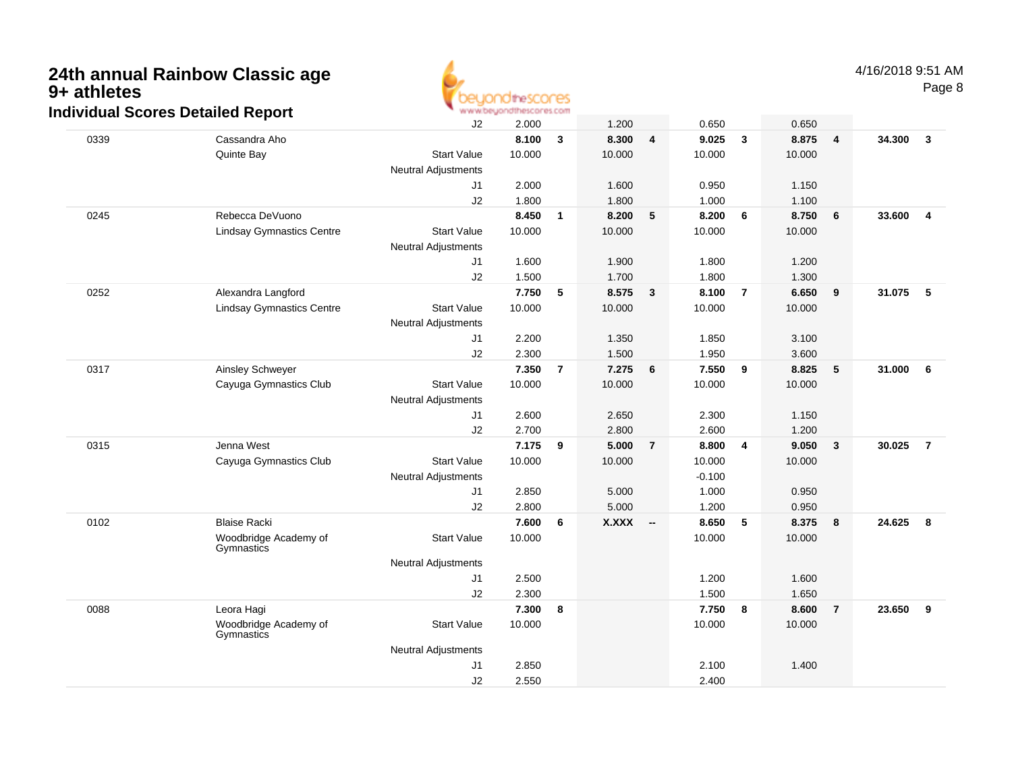

|      | uiviuuai JUUI es Delaileu Nepolit   |                            |        |                |        |                          |          |                  |        |                |        |                  |
|------|-------------------------------------|----------------------------|--------|----------------|--------|--------------------------|----------|------------------|--------|----------------|--------|------------------|
|      |                                     | J2                         | 2.000  |                | 1.200  |                          | 0.650    |                  | 0.650  |                |        |                  |
| 0339 | Cassandra Aho                       |                            | 8.100  | 3              | 8.300  | $\overline{\mathbf{4}}$  | 9.025    | $\mathbf{3}$     | 8.875  | $\overline{4}$ | 34.300 | $\overline{3}$   |
|      | Quinte Bay                          | <b>Start Value</b>         | 10.000 |                | 10.000 |                          | 10.000   |                  | 10.000 |                |        |                  |
|      |                                     | <b>Neutral Adjustments</b> |        |                |        |                          |          |                  |        |                |        |                  |
|      |                                     | J1                         | 2.000  |                | 1.600  |                          | 0.950    |                  | 1.150  |                |        |                  |
|      |                                     | J2                         | 1.800  |                | 1.800  |                          | 1.000    |                  | 1.100  |                |        |                  |
| 0245 | Rebecca DeVuono                     |                            | 8.450  | $\mathbf{1}$   | 8.200  | 5                        | 8.200    | 6                | 8.750  | 6              | 33.600 | $\overline{4}$   |
|      | <b>Lindsay Gymnastics Centre</b>    | <b>Start Value</b>         | 10.000 |                | 10.000 |                          | 10.000   |                  | 10.000 |                |        |                  |
|      |                                     | <b>Neutral Adjustments</b> |        |                |        |                          |          |                  |        |                |        |                  |
|      |                                     | J1                         | 1.600  |                | 1.900  |                          | 1.800    |                  | 1.200  |                |        |                  |
|      |                                     | J2                         | 1.500  |                | 1.700  |                          | 1.800    |                  | 1.300  |                |        |                  |
| 0252 | Alexandra Langford                  |                            | 7.750  | 5              | 8.575  | $\mathbf{3}$             | 8.100    | $\overline{7}$   | 6.650  | 9              | 31.075 | $-5$             |
|      | <b>Lindsay Gymnastics Centre</b>    | <b>Start Value</b>         | 10.000 |                | 10.000 |                          | 10.000   |                  | 10.000 |                |        |                  |
|      |                                     | <b>Neutral Adjustments</b> |        |                |        |                          |          |                  |        |                |        |                  |
|      |                                     | J1                         | 2.200  |                | 1.350  |                          | 1.850    |                  | 3.100  |                |        |                  |
|      |                                     | J2                         | 2.300  |                | 1.500  |                          | 1.950    |                  | 3.600  |                |        |                  |
| 0317 | Ainsley Schweyer                    |                            | 7.350  | $\overline{7}$ | 7.275  | 6                        | 7.550    | 9                | 8.825  | 5              | 31.000 | 6                |
|      | Cayuga Gymnastics Club              | <b>Start Value</b>         | 10.000 |                | 10.000 |                          | 10.000   |                  | 10.000 |                |        |                  |
|      |                                     | <b>Neutral Adjustments</b> |        |                |        |                          |          |                  |        |                |        |                  |
|      |                                     | J1                         | 2.600  |                | 2.650  |                          | 2.300    |                  | 1.150  |                |        |                  |
|      |                                     | J2                         | 2.700  |                | 2.800  |                          | 2.600    |                  | 1.200  |                |        |                  |
| 0315 | Jenna West                          |                            | 7.175  | 9              | 5.000  | $\overline{7}$           | 8.800    | $\overline{4}$   | 9.050  | $\mathbf{3}$   | 30.025 | $\overline{7}$   |
|      | Cayuga Gymnastics Club              | <b>Start Value</b>         | 10.000 |                | 10.000 |                          | 10.000   |                  | 10.000 |                |        |                  |
|      |                                     | <b>Neutral Adjustments</b> |        |                |        |                          | $-0.100$ |                  |        |                |        |                  |
|      |                                     | J1                         | 2.850  |                | 5.000  |                          | 1.000    |                  | 0.950  |                |        |                  |
|      |                                     | J2                         | 2.800  |                | 5.000  |                          | 1.200    |                  | 0.950  |                |        |                  |
| 0102 | <b>Blaise Racki</b>                 |                            | 7.600  | 6              | X.XXX  | $\overline{\phantom{a}}$ | 8.650    | $5\phantom{.0}$  | 8.375  | 8              | 24.625 | $\boldsymbol{8}$ |
|      | Woodbridge Academy of<br>Gymnastics | <b>Start Value</b>         | 10.000 |                |        |                          | 10.000   |                  | 10.000 |                |        |                  |
|      |                                     | <b>Neutral Adjustments</b> |        |                |        |                          |          |                  |        |                |        |                  |
|      |                                     | J <sub>1</sub>             | 2.500  |                |        |                          | 1.200    |                  | 1.600  |                |        |                  |
|      |                                     | J2                         | 2.300  |                |        |                          | 1.500    |                  | 1.650  |                |        |                  |
| 0088 | Leora Hagi                          |                            | 7.300  | 8              |        |                          | 7.750    | $\boldsymbol{8}$ | 8.600  | $\overline{7}$ | 23.650 | 9                |
|      | Woodbridge Academy of<br>Gymnastics | <b>Start Value</b>         | 10.000 |                |        |                          | 10.000   |                  | 10.000 |                |        |                  |
|      |                                     | <b>Neutral Adjustments</b> |        |                |        |                          |          |                  |        |                |        |                  |
|      |                                     | J <sub>1</sub>             | 2.850  |                |        |                          | 2.100    |                  | 1.400  |                |        |                  |
|      |                                     | J2                         | 2.550  |                |        |                          | 2.400    |                  |        |                |        |                  |
|      |                                     |                            |        |                |        |                          |          |                  |        |                |        |                  |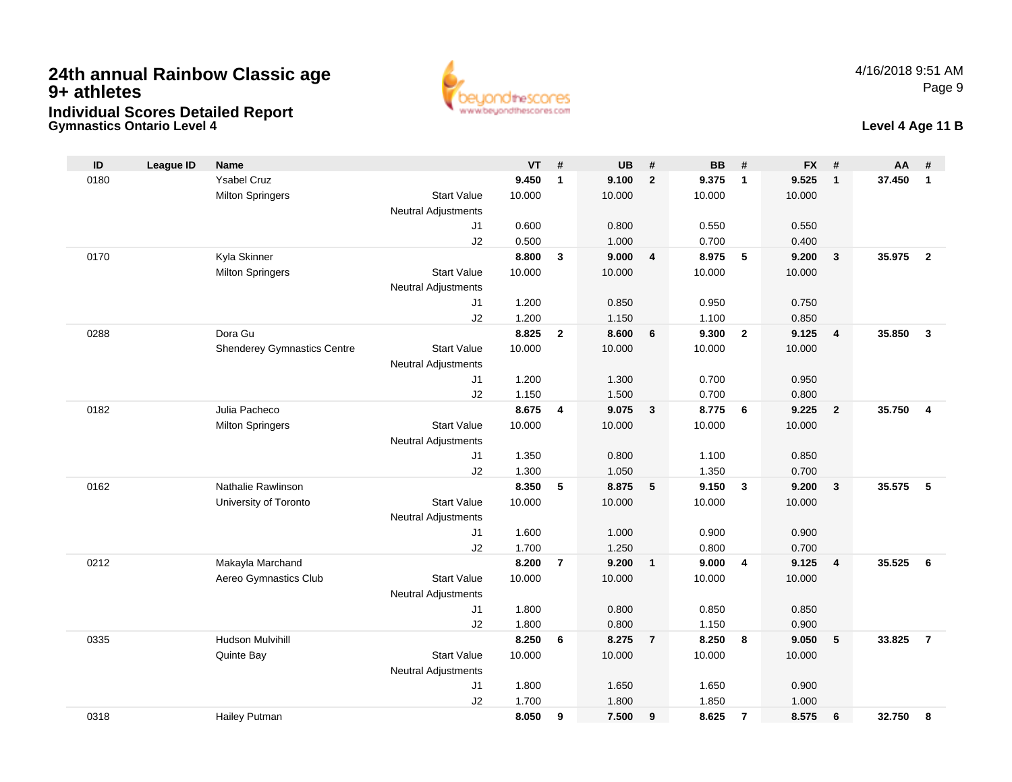



### **Level 4 Age 11 B**

| ID   | <b>League ID</b> | <b>Name</b>                        |                            | <b>VT</b>      | #              | <b>UB</b>      | #                       | <b>BB</b>      | #              | <b>FX</b>      | #                       | AA     | #              |
|------|------------------|------------------------------------|----------------------------|----------------|----------------|----------------|-------------------------|----------------|----------------|----------------|-------------------------|--------|----------------|
| 0180 |                  | <b>Ysabel Cruz</b>                 |                            | 9.450          | $\mathbf{1}$   | 9.100          | $\overline{2}$          | 9.375          | $\overline{1}$ | 9.525          | $\mathbf{1}$            | 37.450 | $\mathbf{1}$   |
|      |                  | <b>Milton Springers</b>            | <b>Start Value</b>         | 10.000         |                | 10.000         |                         | 10.000         |                | 10.000         |                         |        |                |
|      |                  |                                    | <b>Neutral Adjustments</b> |                |                |                |                         |                |                |                |                         |        |                |
|      |                  |                                    | J <sub>1</sub>             | 0.600          |                | 0.800          |                         | 0.550          |                | 0.550          |                         |        |                |
|      |                  |                                    | J2                         | 0.500          |                | 1.000          |                         | 0.700          |                | 0.400          |                         |        |                |
| 0170 |                  | Kyla Skinner                       |                            | 8.800          | 3              | 9.000          | $\overline{4}$          | 8.975          | 5              | 9.200          | $\mathbf{3}$            | 35.975 | $\overline{2}$ |
|      |                  | <b>Milton Springers</b>            | <b>Start Value</b>         | 10.000         |                | 10.000         |                         | 10.000         |                | 10.000         |                         |        |                |
|      |                  |                                    | <b>Neutral Adjustments</b> |                |                |                |                         |                |                |                |                         |        |                |
|      |                  |                                    | J <sub>1</sub>             | 1.200          |                | 0.850          |                         | 0.950          |                | 0.750          |                         |        |                |
|      |                  |                                    | J2                         | 1.200          |                | 1.150          |                         | 1.100          |                | 0.850          |                         |        |                |
| 0288 |                  | Dora Gu                            |                            | 8.825          | $\mathbf{2}$   | 8.600          | $6\phantom{1}6$         | 9.300          | $\overline{2}$ | 9.125          | $\overline{\mathbf{4}}$ | 35.850 | $\mathbf{3}$   |
|      |                  | <b>Shenderey Gymnastics Centre</b> | <b>Start Value</b>         | 10.000         |                | 10.000         |                         | 10.000         |                | 10.000         |                         |        |                |
|      |                  |                                    | <b>Neutral Adjustments</b> |                |                |                |                         |                |                |                |                         |        |                |
|      |                  |                                    | J1<br>J2                   | 1.200<br>1.150 |                | 1.300<br>1.500 |                         | 0.700<br>0.700 |                | 0.950<br>0.800 |                         |        |                |
| 0182 |                  | Julia Pacheco                      |                            | 8.675          | 4              | 9.075          | $\mathbf{3}$            | 8.775          | 6              | 9.225          | $\overline{2}$          | 35.750 | 4              |
|      |                  | <b>Milton Springers</b>            | <b>Start Value</b>         | 10.000         |                | 10.000         |                         | 10.000         |                | 10.000         |                         |        |                |
|      |                  |                                    | <b>Neutral Adjustments</b> |                |                |                |                         |                |                |                |                         |        |                |
|      |                  |                                    | J1                         | 1.350          |                | 0.800          |                         | 1.100          |                | 0.850          |                         |        |                |
|      |                  |                                    | J2                         | 1.300          |                | 1.050          |                         | 1.350          |                | 0.700          |                         |        |                |
| 0162 |                  | Nathalie Rawlinson                 |                            | 8.350          | 5              | 8.875          | 5                       | 9.150          | $\mathbf{3}$   | 9.200          | $\mathbf{3}$            | 35.575 | 5              |
|      |                  | University of Toronto              | <b>Start Value</b>         | 10.000         |                | 10.000         |                         | 10.000         |                | 10.000         |                         |        |                |
|      |                  |                                    | <b>Neutral Adjustments</b> |                |                |                |                         |                |                |                |                         |        |                |
|      |                  |                                    | J1                         | 1.600          |                | 1.000          |                         | 0.900          |                | 0.900          |                         |        |                |
|      |                  |                                    | J2                         | 1.700          |                | 1.250          |                         | 0.800          |                | 0.700          |                         |        |                |
| 0212 |                  | Makayla Marchand                   |                            | 8.200          | $\overline{7}$ | 9.200          | $\overline{\mathbf{1}}$ | 9.000          | $\overline{4}$ | 9.125          | $\overline{\mathbf{4}}$ | 35.525 | 6              |
|      |                  | Aereo Gymnastics Club              | <b>Start Value</b>         | 10.000         |                | 10.000         |                         | 10.000         |                | 10.000         |                         |        |                |
|      |                  |                                    | Neutral Adjustments        |                |                |                |                         |                |                |                |                         |        |                |
|      |                  |                                    | J1                         | 1.800          |                | 0.800          |                         | 0.850          |                | 0.850          |                         |        |                |
|      |                  |                                    | J2                         | 1.800          |                | 0.800          |                         | 1.150          |                | 0.900          |                         |        |                |
| 0335 |                  | <b>Hudson Mulvihill</b>            |                            | 8.250          | 6              | 8.275          | $\overline{7}$          | 8.250          | 8              | 9.050          | 5                       | 33.825 | $\overline{7}$ |
|      |                  | Quinte Bay                         | <b>Start Value</b>         | 10.000         |                | 10.000         |                         | 10.000         |                | 10.000         |                         |        |                |
|      |                  |                                    | <b>Neutral Adjustments</b> |                |                |                |                         |                |                |                |                         |        |                |
|      |                  |                                    | J1                         | 1.800          |                | 1.650          |                         | 1.650          |                | 0.900          |                         |        |                |
|      |                  |                                    | J2                         | 1.700          |                | 1.800          |                         | 1.850          |                | 1.000          |                         |        |                |
| 0318 |                  | Hailey Putman                      |                            | 8.050          | 9              | 7.500          | 9                       | 8.625          | $\overline{7}$ | 8.575          | 6                       | 32.750 | 8              |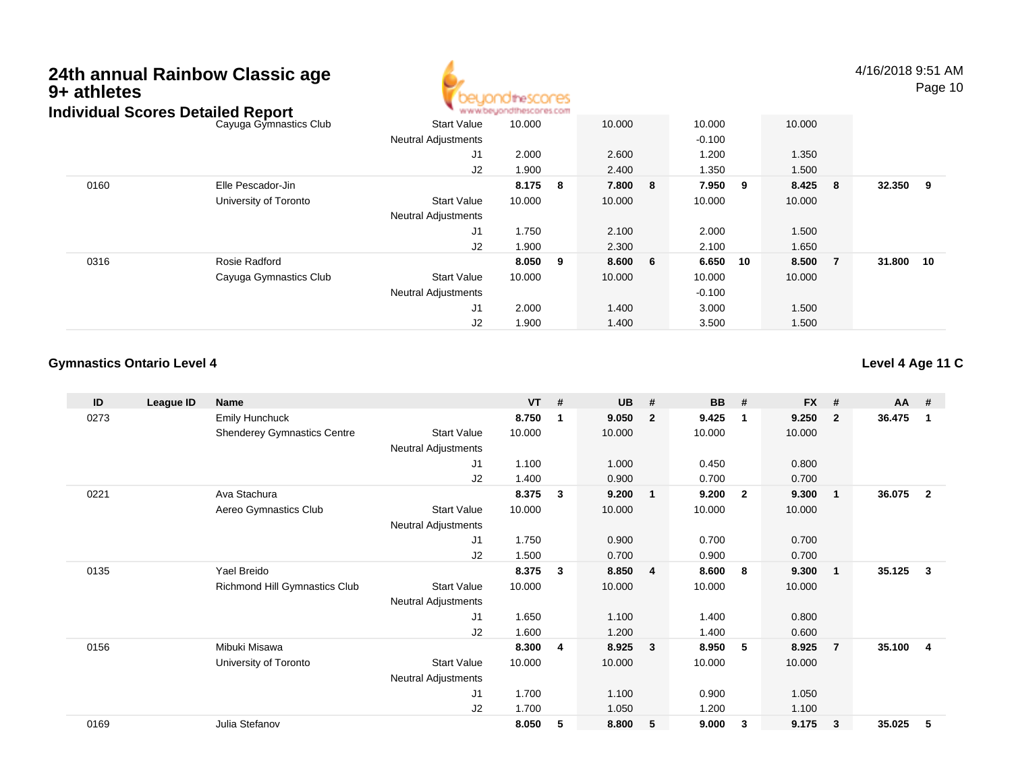

4/16/2018 9:51 AMPage 10

|      | Individual Scores Detailed Report |                            | www.beyondthescores.com |     |        |    |          |     |        |                |        |     |
|------|-----------------------------------|----------------------------|-------------------------|-----|--------|----|----------|-----|--------|----------------|--------|-----|
|      | Cayuga Gymnastics Club            | <b>Start Value</b>         | 10.000                  |     | 10.000 |    | 10.000   |     | 10.000 |                |        |     |
|      |                                   | <b>Neutral Adjustments</b> |                         |     |        |    | $-0.100$ |     |        |                |        |     |
|      |                                   | J1                         | 2.000                   |     | 2.600  |    | 1.200    |     | 1.350  |                |        |     |
|      |                                   | J2                         | 1.900                   |     | 2.400  |    | 1.350    |     | 1.500  |                |        |     |
| 0160 | Elle Pescador-Jin                 |                            | 8.175                   | - 8 | 7.800  | -8 | 7.950    | - 9 | 8.425  | - 8            | 32.350 | - 9 |
|      | University of Toronto             | <b>Start Value</b>         | 10.000                  |     | 10.000 |    | 10.000   |     | 10.000 |                |        |     |
|      |                                   | <b>Neutral Adjustments</b> |                         |     |        |    |          |     |        |                |        |     |
|      |                                   | J1                         | 1.750                   |     | 2.100  |    | 2.000    |     | 1.500  |                |        |     |
|      |                                   | J2                         | 1.900                   |     | 2.300  |    | 2.100    |     | 1.650  |                |        |     |
| 0316 | Rosie Radford                     |                            | 8.050 9                 |     | 8.600  | 6  | 6.650    | 10  | 8.500  | $\overline{7}$ | 31.800 | 10  |
|      | Cayuga Gymnastics Club            | <b>Start Value</b>         | 10.000                  |     | 10.000 |    | 10.000   |     | 10.000 |                |        |     |
|      |                                   | <b>Neutral Adjustments</b> |                         |     |        |    | $-0.100$ |     |        |                |        |     |
|      |                                   | J1                         | 2.000                   |     | 1.400  |    | 3.000    |     | 1.500  |                |        |     |
|      |                                   | J2                         | 1.900                   |     | 1.400  |    | 3.500    |     | 1.500  |                |        |     |

### **Gymnastics Ontario Level 4**

**Level 4 Age 11 C**

| ID   | League ID | Name                               |                            | $VT$ # |   | <b>UB</b> | #                       | <b>BB</b> | #              | <b>FX</b> | #              | <b>AA</b> | #              |
|------|-----------|------------------------------------|----------------------------|--------|---|-----------|-------------------------|-----------|----------------|-----------|----------------|-----------|----------------|
| 0273 |           | Emily Hunchuck                     |                            | 8.750  | 1 | 9.050     | $\overline{2}$          | 9.425     | $\mathbf 1$    | 9.250     | $\overline{2}$ | 36.475    | 1              |
|      |           | <b>Shenderey Gymnastics Centre</b> | <b>Start Value</b>         | 10.000 |   | 10.000    |                         | 10.000    |                | 10.000    |                |           |                |
|      |           |                                    | <b>Neutral Adjustments</b> |        |   |           |                         |           |                |           |                |           |                |
|      |           |                                    | J1                         | 1.100  |   | 1.000     |                         | 0.450     |                | 0.800     |                |           |                |
|      |           |                                    | J2                         | 1.400  |   | 0.900     |                         | 0.700     |                | 0.700     |                |           |                |
| 0221 |           | Ava Stachura                       |                            | 8.375  | 3 | 9.200     | $\overline{\mathbf{1}}$ | 9.200     | $\overline{2}$ | 9.300     | $\mathbf 1$    | 36.075    | $\overline{2}$ |
|      |           | Aereo Gymnastics Club              | <b>Start Value</b>         | 10.000 |   | 10.000    |                         | 10.000    |                | 10.000    |                |           |                |
|      |           |                                    | Neutral Adjustments        |        |   |           |                         |           |                |           |                |           |                |
|      |           |                                    | J1                         | 1.750  |   | 0.900     |                         | 0.700     |                | 0.700     |                |           |                |
|      |           |                                    | J2                         | 1.500  |   | 0.700     |                         | 0.900     |                | 0.700     |                |           |                |
| 0135 |           | Yael Breido                        |                            | 8.375  | 3 | 8.850     | $\overline{\mathbf{4}}$ | 8.600     | - 8            | 9.300     | -1             | 35.125    | 3              |
|      |           | Richmond Hill Gymnastics Club      | <b>Start Value</b>         | 10.000 |   | 10.000    |                         | 10.000    |                | 10.000    |                |           |                |
|      |           |                                    | Neutral Adjustments        |        |   |           |                         |           |                |           |                |           |                |
|      |           |                                    | J1                         | 1.650  |   | 1.100     |                         | 1.400     |                | 0.800     |                |           |                |
|      |           |                                    | J <sub>2</sub>             | 1.600  |   | 1.200     |                         | 1.400     |                | 0.600     |                |           |                |
| 0156 |           | Mibuki Misawa                      |                            | 8.300  | 4 | 8.925     | $\mathbf{3}$            | 8.950     | -5             | 8.925     | $\overline{7}$ | 35.100    | 4              |
|      |           | University of Toronto              | <b>Start Value</b>         | 10.000 |   | 10.000    |                         | 10.000    |                | 10.000    |                |           |                |
|      |           |                                    | <b>Neutral Adjustments</b> |        |   |           |                         |           |                |           |                |           |                |
|      |           |                                    | J1                         | 1.700  |   | 1.100     |                         | 0.900     |                | 1.050     |                |           |                |
|      |           |                                    | J2                         | 1.700  |   | 1.050     |                         | 1.200     |                | 1.100     |                |           |                |
| 0169 |           | Julia Stefanov                     |                            | 8.050  | 5 | 8.800     | 5                       | 9.000     | 3              | 9.175     | $\mathbf{3}$   | 35.025    | 5              |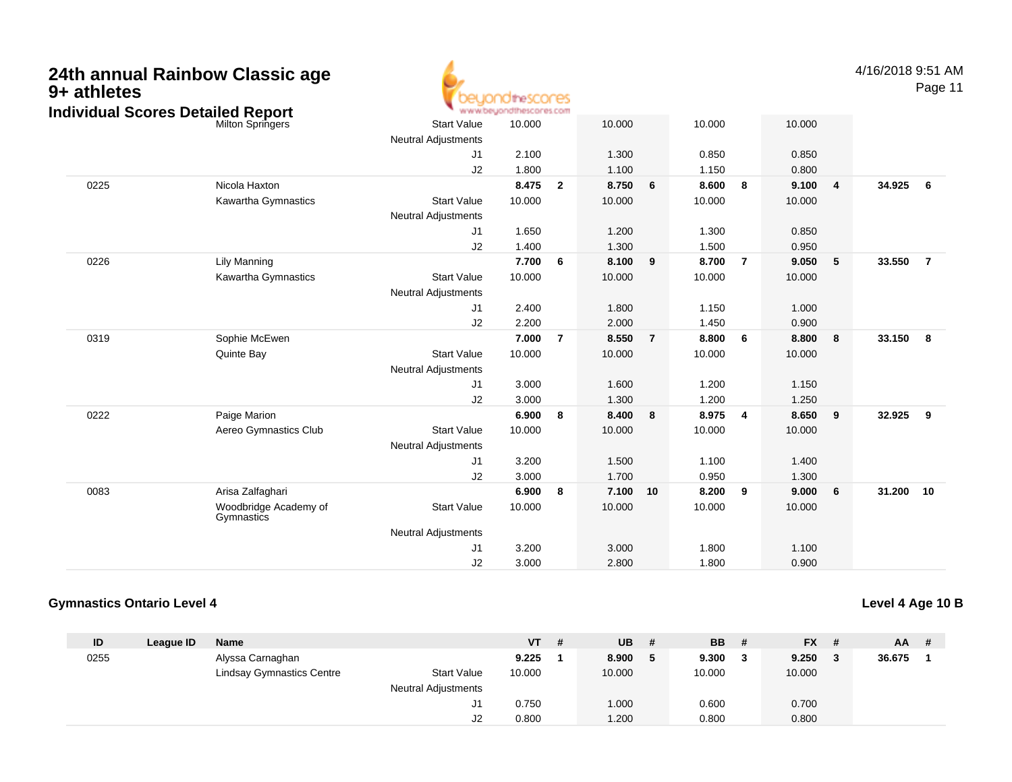| 9+ athletes | 24th annual Rainbow Classic age<br><b>Individual Scores Detailed Report</b> | idthescores<br>www.beyondthescores.com           |                |                         |                |                |                |                | 4/16/2018 9:51 AM | Page 11 |        |                |
|-------------|-----------------------------------------------------------------------------|--------------------------------------------------|----------------|-------------------------|----------------|----------------|----------------|----------------|-------------------|---------|--------|----------------|
|             | <b>Milton Springers</b>                                                     | <b>Start Value</b><br><b>Neutral Adjustments</b> | 10.000         |                         | 10.000         |                | 10.000         |                | 10.000            |         |        |                |
|             |                                                                             | J <sub>1</sub><br>J2                             | 2.100<br>1.800 |                         | 1.300<br>1.100 |                | 0.850<br>1.150 |                | 0.850<br>0.800    |         |        |                |
| 0225        | Nicola Haxton                                                               |                                                  | 8.475          | $\overline{\mathbf{2}}$ | 8.750          | 6              | 8.600          | - 8            | 9.100             | 4       | 34.925 | 6              |
|             | Kawartha Gymnastics                                                         | <b>Start Value</b><br><b>Neutral Adjustments</b> | 10.000         |                         | 10.000         |                | 10.000         |                | 10.000            |         |        |                |
|             |                                                                             | J1                                               | 1.650          |                         | 1.200          |                | 1.300          |                | 0.850             |         |        |                |
|             |                                                                             | J2                                               | 1.400          |                         | 1.300          |                | 1.500          |                | 0.950             |         |        |                |
| 0226        | <b>Lily Manning</b>                                                         |                                                  | 7.700          | - 6                     | 8.100          | 9              | 8.700          | $\overline{7}$ | 9.050             | 5       | 33.550 | $\overline{7}$ |
|             | Kawartha Gymnastics                                                         | <b>Start Value</b><br><b>Neutral Adjustments</b> | 10.000         |                         | 10.000         |                | 10.000         |                | 10.000            |         |        |                |
|             |                                                                             | J <sub>1</sub>                                   | 2.400          |                         | 1.800          |                | 1.150          |                | 1.000             |         |        |                |
|             |                                                                             | J2                                               | 2.200          |                         | 2.000          |                | 1.450          |                | 0.900             |         |        |                |
| 0319        | Sophie McEwen                                                               |                                                  | 7.000          | $\overline{7}$          | 8.550          | $\overline{7}$ | 8.800          | - 6            | 8.800             | 8       | 33.150 | - 8            |
|             | Quinte Bay                                                                  | <b>Start Value</b>                               | 10.000         |                         | 10.000         |                | 10.000         |                | 10.000            |         |        |                |
|             |                                                                             | <b>Neutral Adjustments</b>                       |                |                         |                |                |                |                |                   |         |        |                |
|             |                                                                             | J <sub>1</sub>                                   | 3.000          |                         | 1.600          |                | 1.200          |                | 1.150             |         |        |                |
|             |                                                                             | J2                                               | 3.000          |                         | 1.300          |                | 1.200          |                | 1.250             |         |        |                |
| 0222        | Paige Marion                                                                |                                                  | 6.900          | - 8                     | 8.400          | 8              | 8.975          | $\overline{4}$ | 8.650             | 9       | 32.925 | 9              |
|             | Aereo Gymnastics Club                                                       | <b>Start Value</b>                               | 10.000         |                         | 10.000         |                | 10.000         |                | 10.000            |         |        |                |
|             |                                                                             | <b>Neutral Adjustments</b>                       |                |                         | 1.500          |                | 1.100          |                | 1.400             |         |        |                |
|             |                                                                             | J1<br>J2                                         | 3.200<br>3.000 |                         | 1.700          |                | 0.950          |                | 1.300             |         |        |                |
| 0083        | Arisa Zalfaghari                                                            |                                                  | 6.900          | - 8                     | 7.100          | 10             | 8.200          | 9              | 9.000             | 6       | 31.200 | 10             |
|             | Woodbridge Academy of<br>Gymnastics                                         | <b>Start Value</b>                               | 10.000         |                         | 10.000         |                | 10.000         |                | 10.000            |         |        |                |
|             |                                                                             | <b>Neutral Adjustments</b>                       |                |                         |                |                |                |                |                   |         |        |                |
|             |                                                                             | J <sub>1</sub>                                   | 3.200          |                         | 3.000          |                | 1.800          |                | 1.100             |         |        |                |
|             |                                                                             | J2                                               | 3.000          |                         | 2.800          |                | 1.800          |                | 0.900             |         |        |                |

### **Gymnastics Ontario Level 4**

| ID   | League ID | <b>Name</b>                      |                            | $VT$ # | <b>UB</b> | <b>BB</b> |   | $FX$ # | <b>AA</b> | - # |
|------|-----------|----------------------------------|----------------------------|--------|-----------|-----------|---|--------|-----------|-----|
| 0255 |           | Alyssa Carnaghan                 |                            | 9.225  | 8.900     | 9.300     | , | 9.250  | 36.675    |     |
|      |           | <b>Lindsay Gymnastics Centre</b> | <b>Start Value</b>         | 10.000 | 10.000    | 10.000    |   | 10.000 |           |     |
|      |           |                                  | <b>Neutral Adjustments</b> |        |           |           |   |        |           |     |
|      |           |                                  |                            | 0.750  | 1.000     | 0.600     |   | 0.700  |           |     |
|      |           |                                  | J2                         | 0.800  | .200      | 0.800     |   | 0.800  |           |     |

**Level 4 Age 10 B**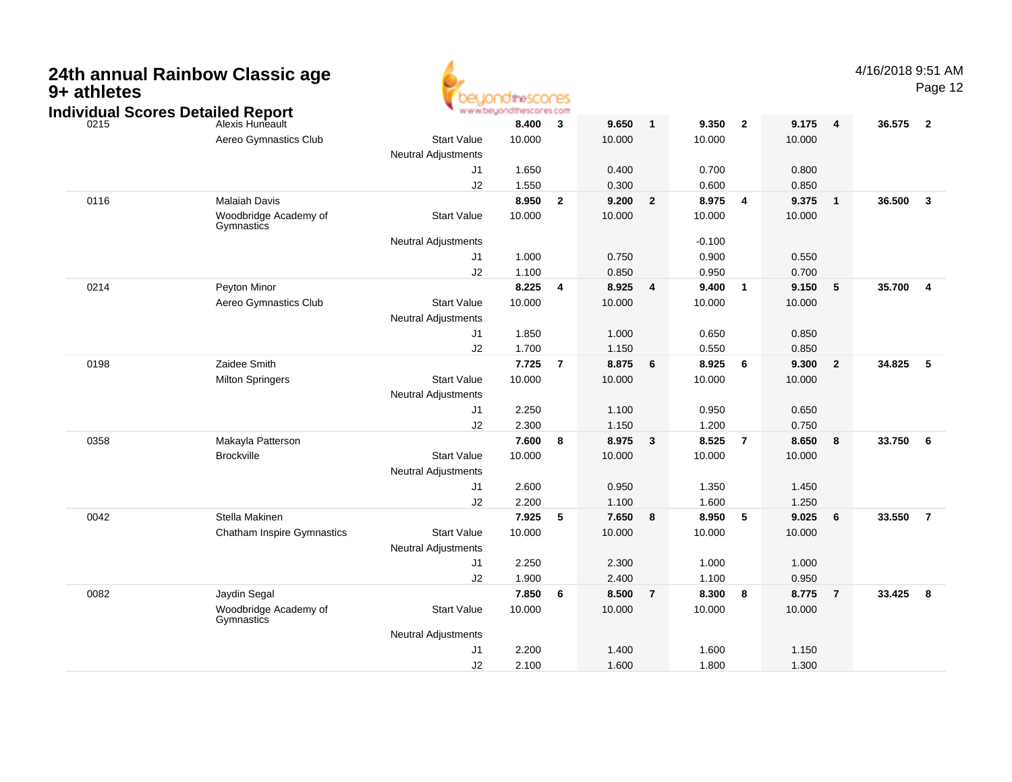| 9+ athletes | 24th annual Rainbow Classic age<br><b>Individual Scores Detailed Report</b> |                                                  | theSCOCES<br>www.beyondthescores.com |                         |                 |                |                 |                |                 |                | 4/16/2018 9:51 AM | Page 12                 |
|-------------|-----------------------------------------------------------------------------|--------------------------------------------------|--------------------------------------|-------------------------|-----------------|----------------|-----------------|----------------|-----------------|----------------|-------------------|-------------------------|
| 0215        | Alexis Huneault                                                             |                                                  | 8.400                                | 3                       | 9.650           | $\mathbf{1}$   | 9.350           | $\overline{2}$ | 9.175           | $\overline{4}$ | 36.575            | $\overline{\mathbf{2}}$ |
|             | Aereo Gymnastics Club                                                       | <b>Start Value</b><br><b>Neutral Adjustments</b> | 10.000                               |                         | 10.000          |                | 10.000          |                | 10.000          |                |                   |                         |
|             |                                                                             | J1                                               | 1.650                                |                         | 0.400           |                | 0.700           |                | 0.800           |                |                   |                         |
|             |                                                                             | J2                                               | 1.550                                |                         | 0.300           |                | 0.600           |                | 0.850           |                |                   |                         |
| 0116        | Malaiah Davis<br>Woodbridge Academy of<br>Gymnastics                        | <b>Start Value</b>                               | 8.950<br>10.000                      | $\overline{\mathbf{2}}$ | 9.200<br>10.000 | $\overline{2}$ | 8.975<br>10.000 | $\overline{4}$ | 9.375<br>10.000 | $\mathbf{1}$   | 36.500            | $\overline{\mathbf{3}}$ |
|             |                                                                             | <b>Neutral Adjustments</b>                       |                                      |                         |                 |                | $-0.100$        |                |                 |                |                   |                         |
|             |                                                                             | J1                                               | 1.000                                |                         | 0.750           |                | 0.900           |                | 0.550           |                |                   |                         |
|             |                                                                             | J2                                               | 1.100                                |                         | 0.850           |                | 0.950           |                | 0.700           |                |                   |                         |
| 0214        | Peyton Minor                                                                |                                                  | 8.225                                | $\overline{4}$          | 8.925           | $\overline{4}$ | 9.400           | $\overline{1}$ | 9.150           | 5              | 35.700            | $\overline{\mathbf{4}}$ |
|             | Aereo Gymnastics Club                                                       | <b>Start Value</b><br><b>Neutral Adjustments</b> | 10.000                               |                         | 10.000          |                | 10.000          |                | 10.000          |                |                   |                         |
|             |                                                                             | J1                                               | 1.850                                |                         | 1.000           |                | 0.650           |                | 0.850           |                |                   |                         |
|             |                                                                             | J2                                               | 1.700                                |                         | 1.150           |                | 0.550           |                | 0.850           |                |                   |                         |
| 0198        | Zaidee Smith                                                                |                                                  | 7.725                                | $\overline{7}$          | 8.875           | 6              | 8.925           | 6              | 9.300           | $\overline{2}$ | 34.825            | 5                       |
|             | <b>Milton Springers</b>                                                     | <b>Start Value</b><br><b>Neutral Adjustments</b> | 10.000                               |                         | 10.000          |                | 10.000          |                | 10.000          |                |                   |                         |
|             |                                                                             | J1                                               | 2.250                                |                         | 1.100           |                | 0.950           |                | 0.650           |                |                   |                         |
|             |                                                                             | J2                                               | 2.300                                |                         | 1.150           |                | 1.200           |                | 0.750           |                |                   |                         |
| 0358        | Makayla Patterson                                                           |                                                  | 7.600                                | 8                       | 8.975           | $\mathbf{3}$   | 8.525           | $\overline{7}$ | 8.650           | 8              | 33.750            | - 6                     |
|             | <b>Brockville</b>                                                           | <b>Start Value</b><br>Neutral Adjustments        | 10.000                               |                         | 10.000          |                | 10.000          |                | 10.000          |                |                   |                         |
|             |                                                                             | J1                                               | 2.600                                |                         | 0.950           |                | 1.350           |                | 1.450           |                |                   |                         |
|             |                                                                             | J2                                               | 2.200                                |                         | 1.100           |                | 1.600           |                | 1.250           |                |                   |                         |
| 0042        | Stella Makinen                                                              |                                                  | 7.925                                | 5                       | 7.650           | 8              | 8.950           | 5              | 9.025           | 6              | 33.550            | $\overline{7}$          |
|             | <b>Chatham Inspire Gymnastics</b>                                           | <b>Start Value</b><br>Neutral Adjustments        | 10.000                               |                         | 10.000          |                | 10.000          |                | 10.000          |                |                   |                         |
|             |                                                                             | J1                                               | 2.250                                |                         | 2.300           |                | 1.000           |                | 1.000           |                |                   |                         |
|             |                                                                             | J2                                               | 1.900                                |                         | 2.400           |                | 1.100           |                | 0.950           |                |                   |                         |
| 0082        | Jaydin Segal                                                                |                                                  | 7.850                                | 6                       | 8.500           | $\overline{7}$ | 8.300           | 8              | 8.775           | $\overline{7}$ | 33.425            | 8                       |
|             | Woodbridge Academy of<br>Gymnastics                                         | <b>Start Value</b>                               | 10.000                               |                         | 10.000          |                | 10.000          |                | 10.000          |                |                   |                         |
|             |                                                                             | <b>Neutral Adjustments</b>                       |                                      |                         |                 |                |                 |                |                 |                |                   |                         |
|             |                                                                             | J1                                               | 2.200                                |                         | 1.400           |                | 1.600           |                | 1.150           |                |                   |                         |
|             |                                                                             | J2                                               | 2.100                                |                         | 1.600           |                | 1.800           |                | 1.300           |                |                   |                         |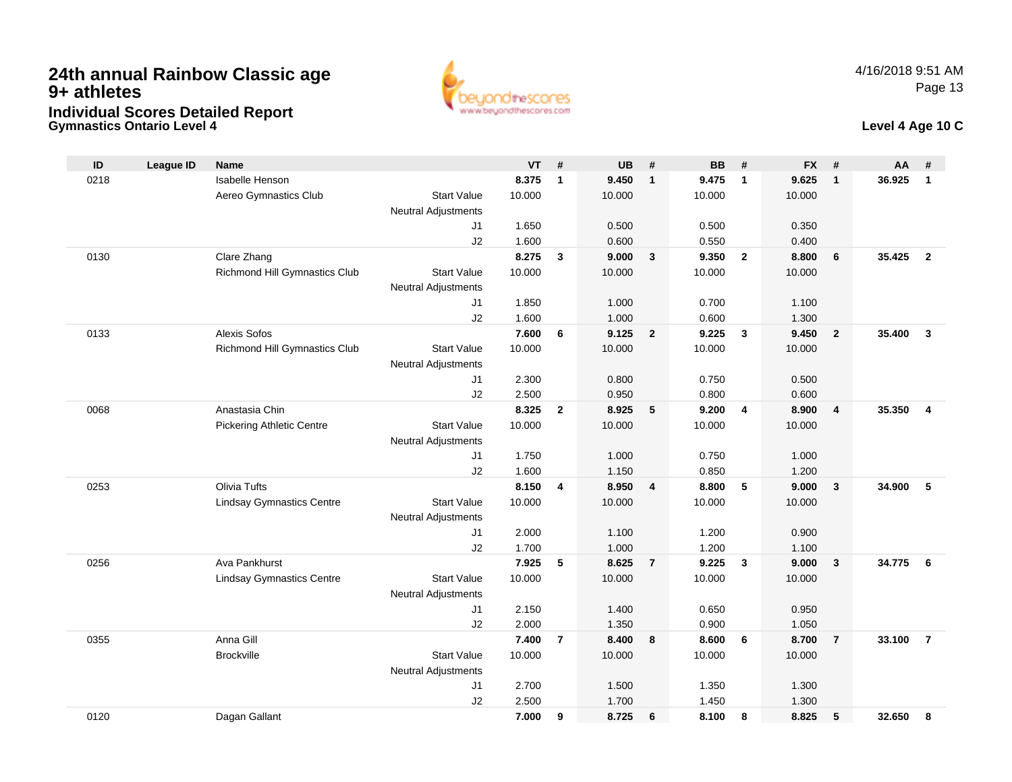**Gymnastics Ontario Level 4**



### **Level 4 Age 10 C**

| ID   | <b>League ID</b> | <b>Name</b>                          |                                              | <b>VT</b> | #              | <b>UB</b> | #                       | <b>BB</b>      | #              | <b>FX</b> | #                       | AA     | #                       |
|------|------------------|--------------------------------------|----------------------------------------------|-----------|----------------|-----------|-------------------------|----------------|----------------|-----------|-------------------------|--------|-------------------------|
| 0218 |                  | Isabelle Henson                      |                                              | 8.375     | $\mathbf{1}$   | 9.450     | $\mathbf{1}$            | 9.475          | $\overline{1}$ | 9.625     | $\mathbf{1}$            | 36.925 | $\mathbf{1}$            |
|      |                  | Aereo Gymnastics Club                | <b>Start Value</b>                           | 10.000    |                | 10.000    |                         | 10.000         |                | 10.000    |                         |        |                         |
|      |                  |                                      | <b>Neutral Adjustments</b>                   |           |                |           |                         |                |                |           |                         |        |                         |
|      |                  |                                      | J1                                           | 1.650     |                | 0.500     |                         | 0.500          |                | 0.350     |                         |        |                         |
|      |                  |                                      | J2                                           | 1.600     |                | 0.600     |                         | 0.550          |                | 0.400     |                         |        |                         |
| 0130 |                  | Clare Zhang                          |                                              | 8.275     | $\mathbf{3}$   | 9.000     | $\mathbf{3}$            | 9.350          | $\overline{2}$ | 8.800     | 6                       | 35.425 | $\overline{2}$          |
|      |                  | <b>Richmond Hill Gymnastics Club</b> | <b>Start Value</b>                           | 10.000    |                | 10.000    |                         | 10.000         |                | 10.000    |                         |        |                         |
|      |                  |                                      | <b>Neutral Adjustments</b>                   |           |                |           |                         |                |                |           |                         |        |                         |
|      |                  |                                      | J1                                           | 1.850     |                | 1.000     |                         | 0.700          |                | 1.100     |                         |        |                         |
|      |                  |                                      | J2                                           | 1.600     |                | 1.000     |                         | 0.600          |                | 1.300     |                         |        |                         |
| 0133 |                  | <b>Alexis Sofos</b>                  |                                              | 7.600     | 6              | 9.125     | $\overline{\mathbf{2}}$ | 9.225          | $\mathbf{3}$   | 9.450     | $\overline{2}$          | 35.400 | $\overline{\mathbf{3}}$ |
|      |                  | <b>Richmond Hill Gymnastics Club</b> | <b>Start Value</b>                           | 10.000    |                | 10.000    |                         | 10.000         |                | 10.000    |                         |        |                         |
|      |                  |                                      | <b>Neutral Adjustments</b>                   |           |                |           |                         |                |                |           |                         |        |                         |
|      |                  |                                      | J <sub>1</sub>                               | 2.300     |                | 0.800     |                         | 0.750          |                | 0.500     |                         |        |                         |
|      |                  |                                      | J2                                           | 2.500     |                | 0.950     |                         | 0.800          |                | 0.600     |                         |        |                         |
| 0068 |                  | Anastasia Chin                       |                                              | 8.325     | $\overline{2}$ | 8.925     | 5                       | 9.200          | $\overline{4}$ | 8.900     | $\overline{4}$          | 35.350 | 4                       |
|      |                  | <b>Pickering Athletic Centre</b>     | <b>Start Value</b>                           | 10.000    |                | 10.000    |                         | 10.000         |                | 10.000    |                         |        |                         |
|      |                  |                                      | <b>Neutral Adjustments</b>                   |           |                |           |                         |                |                |           |                         |        |                         |
|      |                  |                                      | J1                                           | 1.750     |                | 1.000     |                         | 0.750          |                | 1.000     |                         |        |                         |
|      |                  |                                      | J2                                           | 1.600     |                | 1.150     |                         | 0.850          |                | 1.200     |                         |        |                         |
| 0253 |                  | <b>Olivia Tufts</b>                  |                                              | 8.150     | 4              | 8.950     | $\overline{\mathbf{4}}$ | 8.800          | 5              | 9.000     | $\overline{\mathbf{3}}$ | 34.900 | 5                       |
|      |                  | <b>Lindsay Gymnastics Centre</b>     | <b>Start Value</b>                           | 10.000    |                | 10.000    |                         | 10.000         |                | 10.000    |                         |        |                         |
|      |                  |                                      | <b>Neutral Adjustments</b><br>J <sub>1</sub> | 2.000     |                | 1.100     |                         |                |                | 0.900     |                         |        |                         |
|      |                  |                                      | J2                                           | 1.700     |                | 1.000     |                         | 1.200<br>1.200 |                | 1.100     |                         |        |                         |
| 0256 |                  | Ava Pankhurst                        |                                              | 7.925     | 5              | 8.625     | $\overline{7}$          | 9.225          | $\mathbf{3}$   | 9.000     | $\overline{3}$          | 34.775 | 6                       |
|      |                  | <b>Lindsay Gymnastics Centre</b>     | <b>Start Value</b>                           | 10.000    |                | 10.000    |                         | 10.000         |                | 10.000    |                         |        |                         |
|      |                  |                                      | <b>Neutral Adjustments</b>                   |           |                |           |                         |                |                |           |                         |        |                         |
|      |                  |                                      | J1                                           | 2.150     |                | 1.400     |                         | 0.650          |                | 0.950     |                         |        |                         |
|      |                  |                                      | J2                                           | 2.000     |                | 1.350     |                         | 0.900          |                | 1.050     |                         |        |                         |
| 0355 |                  | Anna Gill                            |                                              | 7.400     | $\overline{7}$ | 8.400     | 8                       | 8.600          | 6              | 8.700     | $\overline{7}$          | 33.100 | $\overline{7}$          |
|      |                  | <b>Brockville</b>                    | <b>Start Value</b>                           | 10.000    |                | 10.000    |                         | 10.000         |                | 10.000    |                         |        |                         |
|      |                  |                                      | <b>Neutral Adjustments</b>                   |           |                |           |                         |                |                |           |                         |        |                         |
|      |                  |                                      | J1                                           | 2.700     |                | 1.500     |                         | 1.350          |                | 1.300     |                         |        |                         |
|      |                  |                                      | J2                                           | 2.500     |                | 1.700     |                         | 1.450          |                | 1.300     |                         |        |                         |
| 0120 |                  | Dagan Gallant                        |                                              | 7.000     | 9              | 8.725     | 6                       | 8.100          | 8              | 8.825     | 5                       | 32.650 | 8                       |
|      |                  |                                      |                                              |           |                |           |                         |                |                |           |                         |        |                         |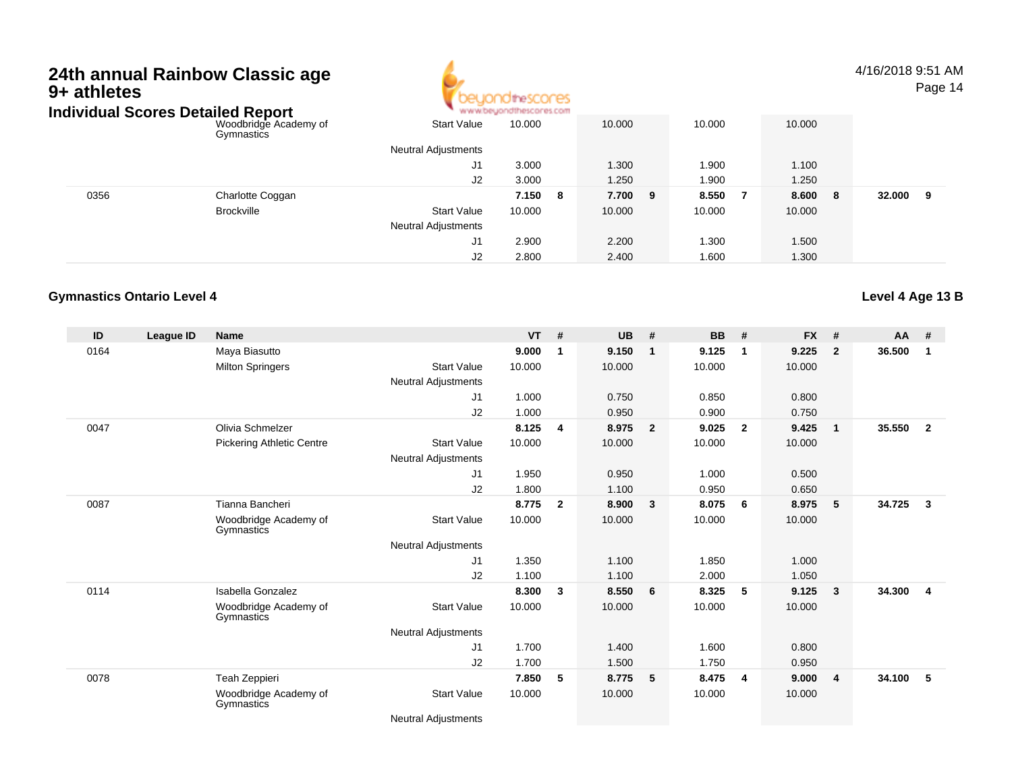

4/16/2018 9:51 AMPage 14

| Individual Scores Detailed Report |                                     |                            | www.beyondthescores.com |            |        |         |             |
|-----------------------------------|-------------------------------------|----------------------------|-------------------------|------------|--------|---------|-------------|
|                                   | Woodbridge Academy of<br>Gymnastics | <b>Start Value</b>         | 10.000                  | 10.000     | 10.000 | 10.000  |             |
|                                   |                                     | <b>Neutral Adjustments</b> |                         |            |        |         |             |
|                                   |                                     | J1                         | 3.000                   | 1.300      | .900   | 1.100   |             |
|                                   |                                     | J2                         | 3.000                   | 1.250      | .900   | 1.250   |             |
| 0356                              | Charlotte Coggan                    |                            | 7.150<br>- 8            | 7.700<br>9 | 8.550  | 8.600 8 | 32.000<br>9 |
|                                   | <b>Brockville</b>                   | <b>Start Value</b>         | 10.000                  | 10.000     | 10.000 | 10.000  |             |
|                                   |                                     | <b>Neutral Adjustments</b> |                         |            |        |         |             |
|                                   |                                     | J1                         | 2.900                   | 2.200      | 1.300  | 1.500   |             |
|                                   |                                     | J2                         | 2.800                   | 2.400      | 1.600  | 1.300   |             |

### **Gymnastics Ontario Level 4**

**ID League ID Name VT # UB # BB # FX # AA #** 0164 Maya Biasutto **9.000 <sup>1</sup> 9.150 <sup>1</sup> 9.125 <sup>1</sup> 9.225 <sup>2</sup> 36.500 <sup>1</sup>** Milton Springers Start Valuee 10.000 10.000 10.000 10.000 Neutral Adjustments J1 1.000 0.750 0.850 0.800 J2 1.000 0.950 0.900 0.750 0047 Olivia Schmelzer **8.125 <sup>4</sup> 8.975 <sup>2</sup> 9.025 <sup>2</sup> 9.425 <sup>1</sup> 35.550 <sup>2</sup>** Pickering Athletic Centre Start Value 10.000 10.000 10.000 10.000 Neutral Adjustments J1 1.950 0.950 1.000 0.500 J2 1.800 1.100 0.950 0.650 0087 Tianna Bancheri **8.775 <sup>2</sup> 8.900 <sup>3</sup> 8.075 <sup>6</sup> 8.975 <sup>5</sup> 34.725 <sup>3</sup>** Woodbridge Academy of GymnasticsStart Valuee 10.000 10.000 10.000 10.000 Neutral Adjustments J1 1.350 1.100 1.850 1.000 J2 1.100 1.100 2.000 1.050 0114 Isabella Gonzalez **8.300 <sup>3</sup> 8.550 <sup>6</sup> 8.325 <sup>5</sup> 9.125 <sup>3</sup> 34.300 <sup>4</sup>** Woodbridge Academy of**Gymnastics** Start Valuee 10.000 10.000 10.000 10.000 Neutral Adjustments J1 1.700 1.400 1.600 0.800 J2 1.700 1.500 1.750 0.950 0078 Teah Zeppieri **7.850 <sup>5</sup> 8.775 <sup>5</sup> 8.475 <sup>4</sup> 9.000 <sup>4</sup> 34.100 <sup>5</sup>** Woodbridge Academy of**Gymnastics** Start Valuee 10.000 10.000 10.000 10.000

**Level 4 Age 13 B**

Neutral Adjustments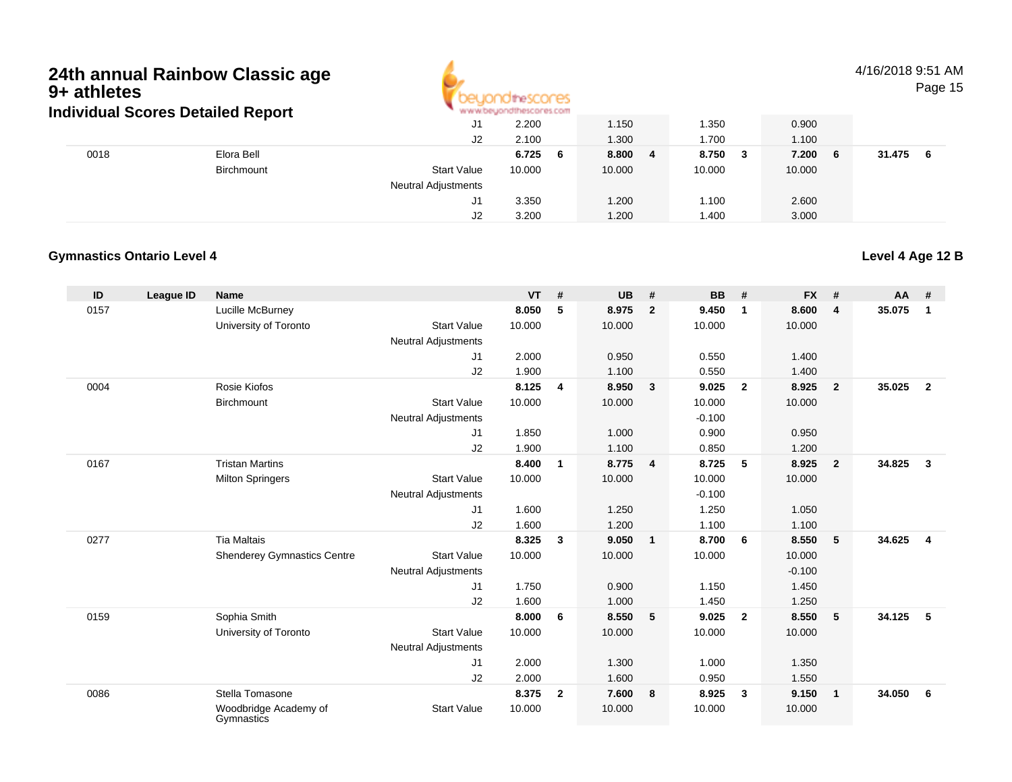

4/16/2018 9:51 AMPage 15

#### J1 2.200 1.150 1.350 0.900 J2 2.100 1.300 1.700 1.100 0018 Elora Bell **6.725 <sup>6</sup> 8.800 <sup>4</sup> 8.750 <sup>3</sup> 7.200 <sup>6</sup> 31.475 <sup>6</sup> Birchmount**  Start Valuee 10.000 10.000 10.000 10.000 Neutral Adjustments J1 3.350 1.200 1.100 2.600 J2 3.200 1.200 1.400 3.000 **Individual Scores Detailed Report**

### **Gymnastics Ontario Level 4**

#### **ID League ID Name VT # UB # BB # FX # AA #** 0157 Lucille McBurney **8.050 <sup>5</sup> 8.975 <sup>2</sup> 9.450 <sup>1</sup> 8.600 <sup>4</sup> 35.075 <sup>1</sup>** University of Toronto Start Value 10.000 10.000 10.000 10.000 Neutral Adjustments J1 2.000 0.950 0.550 1.400 J2 1.900 1.100 0.550 1.400 0004 Rosie Kiofos **8.125 <sup>4</sup> 8.950 <sup>3</sup> 9.025 <sup>2</sup> 8.925 <sup>2</sup> 35.025 <sup>2</sup> Birchmount**  Start Valuee 10.000 10.000 10.000 10.000 Neutral Adjustments $-0.100$ 0.900 J1 1.850 1.000 0.900 0.950 J2 1.900 1.100 0.850 1.200 0167 Tristan Martins **8.400 <sup>1</sup> 8.775 <sup>4</sup> 8.725 <sup>5</sup> 8.925 <sup>2</sup> 34.825 <sup>3</sup>** Milton Springers Start Valuee 10.000 10.000 10.000 10.000 Neutral Adjustments $-0.100$ 1.250 J1 1.600 1.250 1.250 1.050 J2 1.600 1.200 1.100 1.100 0277 Tia Maltais **8.325 <sup>3</sup> 9.050 <sup>1</sup> 8.700 <sup>6</sup> 8.550 <sup>5</sup> 34.625 <sup>4</sup>** Shenderey Gymnastics Centre Start Value 10.000 10.000 10.000 10.000 Neutral Adjustments $\sim$  -0.100 1.450 J1 1.750 0.900 1.150 1.450 J2 1.600 1.000 1.450 1.250 0159 Sophia Smith **8.000 <sup>6</sup> 8.550 <sup>5</sup> 9.025 <sup>2</sup> 8.550 <sup>5</sup> 34.125 <sup>5</sup>** University of Toronto Start Value 10.000 10.000 10.000 10.000 Neutral Adjustments J1 2.000 1.300 1.000 1.350 J2 2.000 1.600 0.950 1.550 0086 Stella Tomasone **8.375 <sup>2</sup> 7.600 <sup>8</sup> 8.925 <sup>3</sup> 9.150 <sup>1</sup> 34.050 <sup>6</sup>** Woodbridge Academy of**Gymnastics** Start Valuee 10.000 10.000 10.000 10.000

**Level 4 Age 12 B**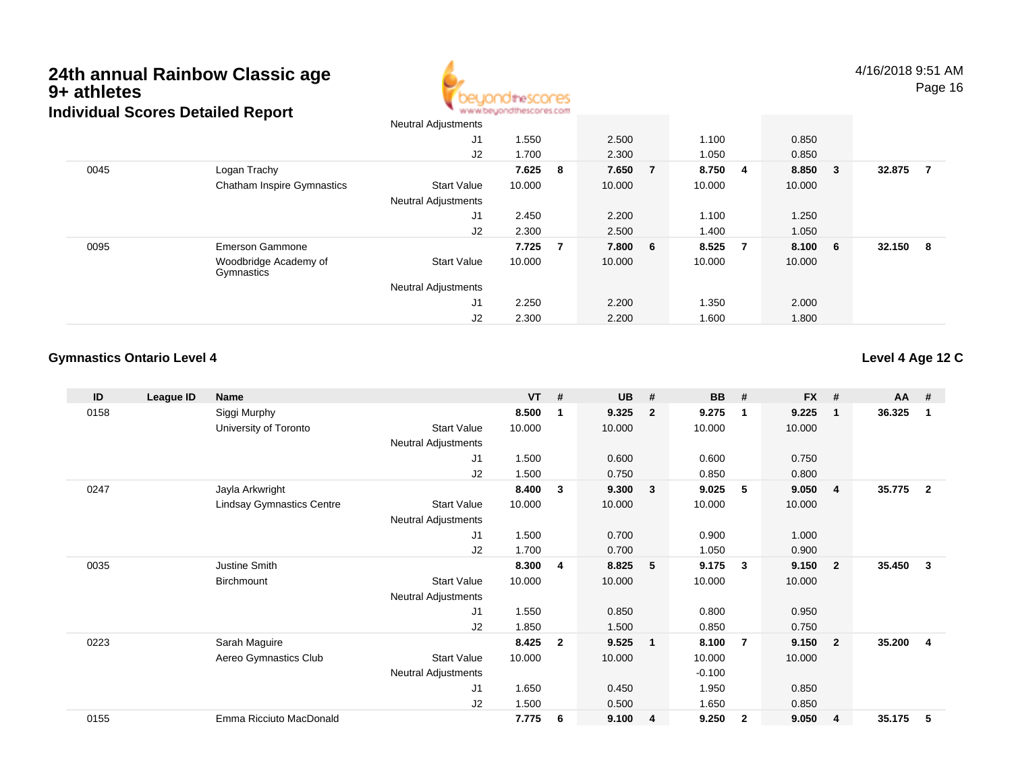

|      |                                     | Neutral Adjustments        |        |     |         |         |                |        |                         |        |     |
|------|-------------------------------------|----------------------------|--------|-----|---------|---------|----------------|--------|-------------------------|--------|-----|
|      |                                     | J1                         | 1.550  |     | 2.500   | 1.100   |                | 0.850  |                         |        |     |
|      |                                     | J2                         | 1.700  |     | 2.300   | 1.050   |                | 0.850  |                         |        |     |
| 0045 | Logan Trachy                        |                            | 7.625  | - 8 | 7.650 7 | 8.750 4 |                | 8.850  | $\overline{\mathbf{3}}$ | 32.875 | -7  |
|      | <b>Chatham Inspire Gymnastics</b>   | <b>Start Value</b>         | 10.000 |     | 10.000  | 10.000  |                | 10.000 |                         |        |     |
|      |                                     | <b>Neutral Adjustments</b> |        |     |         |         |                |        |                         |        |     |
|      |                                     | J1                         | 2.450  |     | 2.200   | 1.100   |                | 1.250  |                         |        |     |
|      |                                     | J2                         | 2.300  |     | 2.500   | 1.400   |                | 1.050  |                         |        |     |
| 0095 | <b>Emerson Gammone</b>              |                            | 7.725  | - 7 | 7.800 6 | 8.525   | $\overline{7}$ | 8.100  | - 6                     | 32.150 | - 8 |
|      | Woodbridge Academy of<br>Gymnastics | <b>Start Value</b>         | 10.000 |     | 10.000  | 10.000  |                | 10.000 |                         |        |     |
|      |                                     | <b>Neutral Adjustments</b> |        |     |         |         |                |        |                         |        |     |
|      |                                     | J1                         | 2.250  |     | 2.200   | 1.350   |                | 2.000  |                         |        |     |
|      |                                     | J2                         | 2.300  |     | 2.200   | 1.600   |                | 1.800  |                         |        |     |

### **Gymnastics Ontario Level 4**

| ID   | League ID | <b>Name</b>                      |                            | <b>VT</b> | #            | <b>UB</b> | #              | <b>BB</b> | #              | <b>FX</b> | #                       | <b>AA</b> | #                       |
|------|-----------|----------------------------------|----------------------------|-----------|--------------|-----------|----------------|-----------|----------------|-----------|-------------------------|-----------|-------------------------|
| 0158 |           | Siggi Murphy                     |                            | 8.500     | 1            | 9.325     | $\overline{2}$ | 9.275     | $\mathbf{1}$   | 9.225     | $\overline{\mathbf{1}}$ | 36.325    | $\mathbf{1}$            |
|      |           | University of Toronto            | <b>Start Value</b>         | 10.000    |              | 10.000    |                | 10.000    |                | 10.000    |                         |           |                         |
|      |           |                                  | Neutral Adjustments        |           |              |           |                |           |                |           |                         |           |                         |
|      |           |                                  | J <sub>1</sub>             | 1.500     |              | 0.600     |                | 0.600     |                | 0.750     |                         |           |                         |
|      |           |                                  | J2                         | 1.500     |              | 0.750     |                | 0.850     |                | 0.800     |                         |           |                         |
| 0247 |           | Jayla Arkwright                  |                            | 8.400     | 3            | 9.300     | $\mathbf{3}$   | 9.025     | 5              | 9.050     | -4                      | 35.775    | $\overline{\mathbf{2}}$ |
|      |           | <b>Lindsay Gymnastics Centre</b> | <b>Start Value</b>         | 10.000    |              | 10.000    |                | 10.000    |                | 10.000    |                         |           |                         |
|      |           |                                  | <b>Neutral Adjustments</b> |           |              |           |                |           |                |           |                         |           |                         |
|      |           |                                  | J <sub>1</sub>             | 1.500     |              | 0.700     |                | 0.900     |                | 1.000     |                         |           |                         |
|      |           |                                  | J2                         | 1.700     |              | 0.700     |                | 1.050     |                | 0.900     |                         |           |                         |
| 0035 |           | Justine Smith                    |                            | 8.300     | 4            | 8.825     | 5              | 9.175     | $\mathbf{3}$   | 9.150     | $\overline{\mathbf{2}}$ | 35.450    | $\mathbf{3}$            |
|      |           | Birchmount                       | <b>Start Value</b>         | 10.000    |              | 10.000    |                | 10.000    |                | 10.000    |                         |           |                         |
|      |           |                                  | Neutral Adjustments        |           |              |           |                |           |                |           |                         |           |                         |
|      |           |                                  | J <sub>1</sub>             | 1.550     |              | 0.850     |                | 0.800     |                | 0.950     |                         |           |                         |
|      |           |                                  | J2                         | 1.850     |              | 1.500     |                | 0.850     |                | 0.750     |                         |           |                         |
| 0223 |           | Sarah Maguire                    |                            | 8.425     | $\mathbf{2}$ | 9.525     | $\mathbf{1}$   | 8.100     | $\overline{7}$ | 9.150     | $\overline{2}$          | 35.200    | $\overline{\mathbf{4}}$ |
|      |           | Aereo Gymnastics Club            | <b>Start Value</b>         | 10.000    |              | 10.000    |                | 10.000    |                | 10.000    |                         |           |                         |
|      |           |                                  | <b>Neutral Adjustments</b> |           |              |           |                | $-0.100$  |                |           |                         |           |                         |
|      |           |                                  | J <sub>1</sub>             | 1.650     |              | 0.450     |                | 1.950     |                | 0.850     |                         |           |                         |
|      |           |                                  | J2                         | 1.500     |              | 0.500     |                | 1.650     |                | 0.850     |                         |           |                         |
| 0155 |           | Emma Ricciuto MacDonald          |                            | 7.775     | 6            | 9.100     | 4              | 9.250     | $\overline{2}$ | 9.050     | $\overline{4}$          | 35.175    | -5                      |

**Level 4 Age 12 C**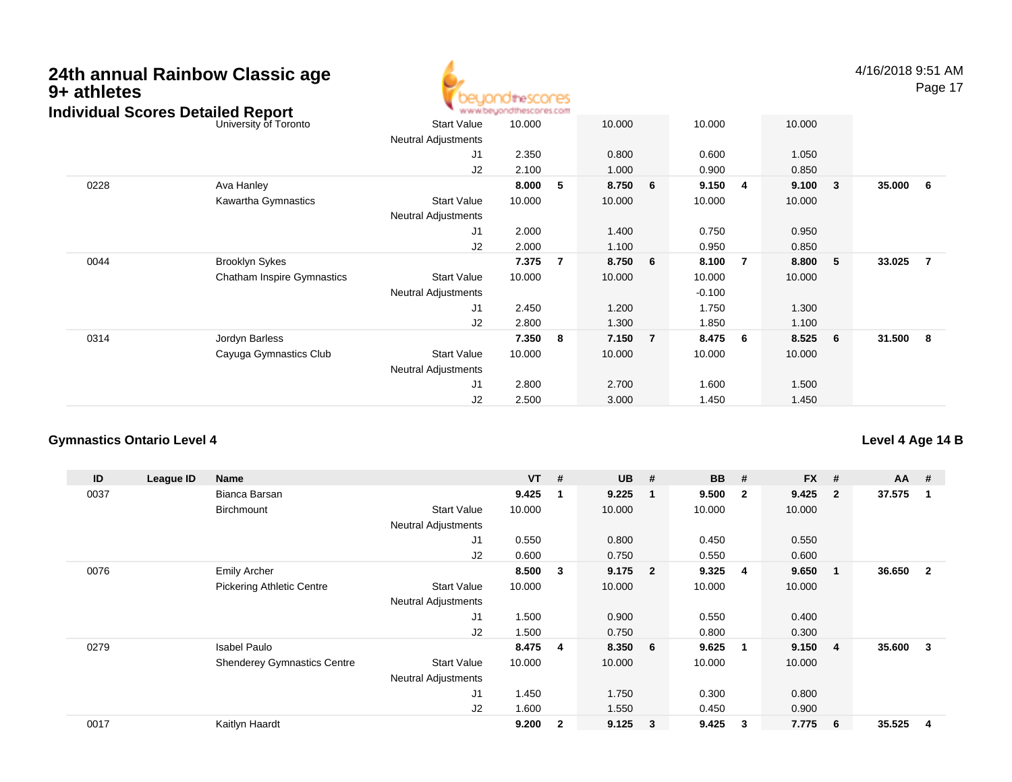### **24th annual Rainbow Classic age9+ athletes**thescores www.beuondthescores.com **Individual Scores Detailed Report**University of Toronto Neutral Adjustments

4/16/2018 9:51 AMPage 17

#### o 3tart Value 10.000 10.000 10.000 10.000 10.000 J1 2.350 0.800 0.600 1.050 J2 2.100 1.000 0.900 0.850 0228 Ava Hanley **8.000 <sup>5</sup> 8.750 <sup>6</sup> 9.150 <sup>4</sup> 9.100 <sup>3</sup> 35.000 <sup>6</sup>** Kawartha Gymnastics Start Valuee 10.000 10.000 10.000 10.000 Neutral Adjustments J1 2.000 1.400 0.750 0.950 J2 2.000 1.100 0.950 0.850 0044 Brooklyn Sykes **7.375 <sup>7</sup> 8.750 <sup>6</sup> 8.100 <sup>7</sup> 8.800 <sup>5</sup> 33.025 <sup>7</sup>** Chatham Inspire Gymnastics Start Valuee 10.000 10.000 10.000 10.000 Neutral Adjustments $\sim$  -0.100 1.750 J1 2.450 1.200 1.750 1.300 J2 2.800 1.300 1.850 1.100 0314 Jordyn Barless **7.350 <sup>8</sup> 7.150 <sup>7</sup> 8.475 <sup>6</sup> 8.525 <sup>6</sup> 31.500 <sup>8</sup>** Cayuga Gymnastics Club Start Value 10.000 10.000 10.000 10.000 Neutral Adjustments J1 2.800 2.700 1.600 1.500 J22.500 3.000 1.450 1.450

### **Gymnastics Ontario Level 4**

**ID League ID Name VT # UB # BB # FX # AA #** 0037 Bianca Barsan **9.425 <sup>1</sup> 9.225 <sup>1</sup> 9.500 <sup>2</sup> 9.425 <sup>2</sup> 37.575 <sup>1</sup> Birchmount**  Start Valuee 10.000 10.000 10.000 10.000 Neutral Adjustments J1 0.550 0.800 0.450 0.550 J2 0.600 0.750 0.550 0.600 0076 Emily Archer **8.500 <sup>3</sup> 9.175 <sup>2</sup> 9.325 <sup>4</sup> 9.650 <sup>1</sup> 36.650 <sup>2</sup>** Pickering Athletic Centre Start Value 10.000 10.000 10.000 10.000 Neutral Adjustments J1 1.500 0.900 0.550 0.400 J2 1.500 0.750 0.800 0.300 0279 Isabel Paulo **8.475 <sup>4</sup> 8.350 <sup>6</sup> 9.625 <sup>1</sup> 9.150 <sup>4</sup> 35.600 <sup>3</sup>** Shenderey Gymnastics Centre Start Value 10.000 10.000 10.000 10.000 Neutral Adjustments J1 1.450 1.750 0.300 0.800 J2 1.600 1.550 0.450 0.900 0017Kaitlyn Haardt **9.200 <sup>2</sup> 9.125 <sup>3</sup> 9.425 <sup>3</sup> 7.775 <sup>6</sup> 35.525 <sup>4</sup>**

### **Level 4 Age 14 B**